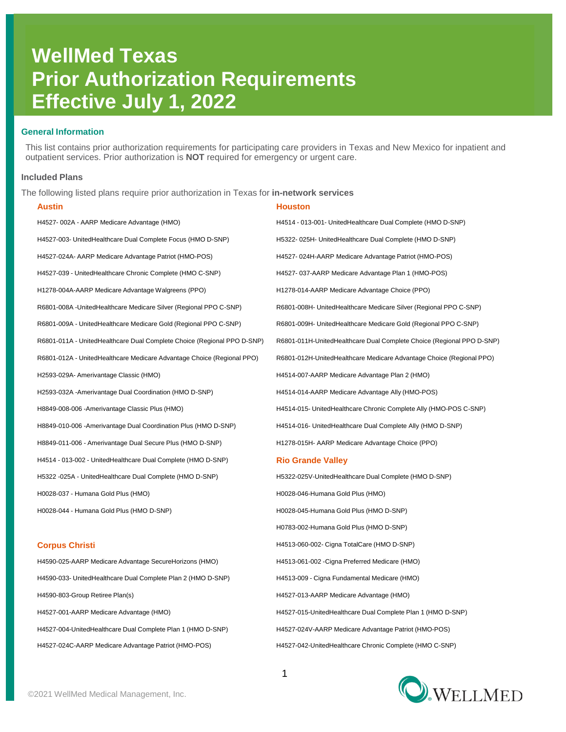# **WellMed Texas Prior Authorization Requirements Effective July 1, 2022**

## **General Information**

This list contains prior authorization requirements for participating care providers in Texas and New Mexico for inpatient and outpatient services. Prior authorization is **NOT** required for emergency or urgent care.

## **Included Plans**

The following listed plans require prior authorization in Texas for **in-network services**

| Austin                                                                  | Houston                                                               |
|-------------------------------------------------------------------------|-----------------------------------------------------------------------|
| H4527-002A - AARP Medicare Advantage (HMO)                              | H4514 - 013-001- UnitedHealthcare Dual Complete (HMO D-SNP)           |
| H4527-003- UnitedHealthcare Dual Complete Focus (HMO D-SNP)             | H5322-025H- UnitedHealthcare Dual Complete (HMO D-SNP)                |
| H4527-024A- AARP Medicare Advantage Patriot (HMO-POS)                   | H4527-024H-AARP Medicare Advantage Patriot (HMO-POS)                  |
| H4527-039 - UnitedHealthcare Chronic Complete (HMO C-SNP)               | H4527-037-AARP Medicare Advantage Plan 1 (HMO-POS)                    |
| H1278-004A-AARP Medicare Advantage Walgreens (PPO)                      | H1278-014-AARP Medicare Advantage Choice (PPO)                        |
| R6801-008A -UnitedHealthcare Medicare Silver (Regional PPO C-SNP)       | R6801-008H- UnitedHealthcare Medicare Silver (Regional PPO C-SNP)     |
| R6801-009A - UnitedHealthcare Medicare Gold (Regional PPO C-SNP)        | R6801-009H- UnitedHealthcare Medicare Gold (Regional PPO C-SNP)       |
| R6801-011A - UnitedHealthcare Dual Complete Choice (Regional PPO D-SNP) | R6801-011H-UnitedHealthcare Dual Complete Choice (Regional PPO D-SNP) |
| R6801-012A - UnitedHealthcare Medicare Advantage Choice (Regional PPO)  | R6801-012H-UnitedHealthcare Medicare Advantage Choice (Regional PPO)  |
| H2593-029A- Amerivantage Classic (HMO)                                  | H4514-007-AARP Medicare Advantage Plan 2 (HMO)                        |
| H2593-032A -Amerivantage Dual Coordination (HMO D-SNP)                  | H4514-014-AARP Medicare Advantage Ally (HMO-POS)                      |
| H8849-008-006 -Amerivantage Classic Plus (HMO)                          | H4514-015- UnitedHealthcare Chronic Complete Ally (HMO-POS C-SNP)     |
| H8849-010-006 -Amerivantage Dual Coordination Plus (HMO D-SNP)          | H4514-016- UnitedHealthcare Dual Complete Ally (HMO D-SNP)            |
| H8849-011-006 - Amerivantage Dual Secure Plus (HMO D-SNP)               | H1278-015H- AARP Medicare Advantage Choice (PPO)                      |
| H4514 - 013-002 - UnitedHealthcare Dual Complete (HMO D-SNP)            | <b>Rio Grande Valley</b>                                              |
| H5322 -025A - UnitedHealthcare Dual Complete (HMO D-SNP)                | H5322-025V-UnitedHealthcare Dual Complete (HMO D-SNP)                 |
| H0028-037 - Humana Gold Plus (HMO)                                      | H0028-046-Humana Gold Plus (HMO)                                      |
| H0028-044 - Humana Gold Plus (HMO D-SNP)                                | H0028-045-Humana Gold Plus (HMO D-SNP)                                |
|                                                                         | H0783-002-Humana Gold Plus (HMO D-SNP)                                |
| <b>Corpus Christi</b>                                                   | H4513-060-002- Cigna TotalCare (HMO D-SNP)                            |
| H4590-025-AARP Medicare Advantage SecureHorizons (HMO)                  | H4513-061-002 - Cigna Preferred Medicare (HMO)                        |
| H4590-033- UnitedHealthcare Dual Complete Plan 2 (HMO D-SNP)            | H4513-009 - Cigna Fundamental Medicare (HMO)                          |
| H4590-803-Group Retiree Plan(s)                                         | H4527-013-AARP Medicare Advantage (HMO)                               |
| H4527-001-AARP Medicare Advantage (HMO)                                 | H4527-015-UnitedHealthcare Dual Complete Plan 1 (HMO D-SNP)           |
| H4527-004-UnitedHealthcare Dual Complete Plan 1 (HMO D-SNP)             | H4527-024V-AARP Medicare Advantage Patriot (HMO-POS)                  |
| H4527-024C-AARP Medicare Advantage Patriot (HMO-POS)                    | H4527-042-UnitedHealthcare Chronic Complete (HMO C-SNP)               |

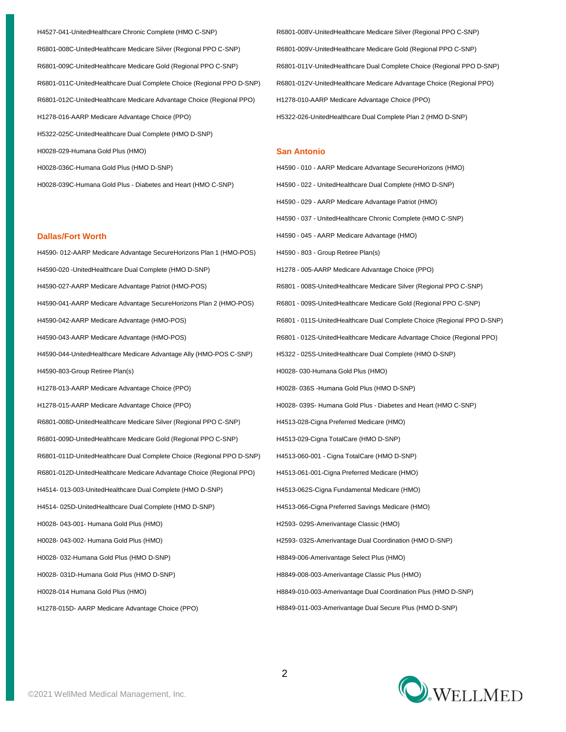H4527-041-UnitedHealthcare Chronic Complete (HMO C-SNP) R6801-008V-UnitedHealthcare Medicare Silver (Regional PPO C-SNP) R6801-008C-UnitedHealthcare Medicare Silver (Regional PPO C-SNP) R6801-009V-UnitedHealthcare Medicare Gold (Regional PPO C-SNP) R6801-009C-UnitedHealthcare Medicare Gold (Regional PPO C-SNP) R6801-011V-UnitedHealthcare Dual Complete Choice (Regional PPO D-SNP) R6801-011C-UnitedHealthcare Dual Complete Choice (Regional PPO D-SNP) R6801-012V-UnitedHealthcare Medicare Advantage Choice (Regional PPO) R6801-012C-UnitedHealthcare Medicare Advantage Choice (Regional PPO) H1278-010-AARP Medicare Advantage Choice (PPO) H1278-016-AARP Medicare Advantage Choice (PPO) <br>
H5322-026-UnitedHealthcare Dual Complete Plan 2 (HMO D-SNP) H5322-025C-UnitedHealthcare Dual Complete (HMO D-SNP) H0028-029-Humana Gold Plus (HMO) **San Antonio**

H4590- 012-AARP Medicare Advantage SecureHorizons Plan 1 (HMO-POS) H4590 - 803 - Group Retiree Plan(s) H4590-020 -UnitedHealthcare Dual Complete (HMO D-SNP) H1278 - 005-AARP Medicare Advantage Choice (PPO) H4590-027-AARP Medicare Advantage Patriot (HMO-POS) R6801 - 008S-UnitedHealthcare Medicare Silver (Regional PPO C-SNP) H4590-041-AARP Medicare Advantage SecureHorizons Plan 2 (HMO-POS) R6801 - 009S-UnitedHealthcare Medicare Gold (Regional PPO C-SNP) H4590-042-AARP Medicare Advantage (HMO-POS) R6801 - 011S-UnitedHealthcare Dual Complete Choice (Regional PPO D-SNP) H4590-043-AARP Medicare Advantage (HMO-POS) R6801 - 012S-UnitedHealthcare Medicare Advantage Choice (Regional PPO) H4590-044-UnitedHealthcare Medicare Advantage Ally (HMO-POS C-SNP) H5322 - 025S-UnitedHealthcare Dual Complete (HMO D-SNP) H4590-803-Group Retiree Plan(s) example and the example of the H0028- 030-Humana Gold Plus (HMO) H1278-013-AARP Medicare Advantage Choice (PPO) https://www.bloggeration.com/h0028- 036S -Humana Gold Plus (HMO D-SNP) H1278-015-AARP Medicare Advantage Choice (PPO) H0028- 039S- Humana Gold Plus - Diabetes and Heart (HMO C-SNP) R6801-008D-UnitedHealthcare Medicare Silver (Regional PPO C-SNP) H4513-028-Cigna Preferred Medicare (HMO) R6801-009D-UnitedHealthcare Medicare Gold (Regional PPO C-SNP) H4513-029-Cigna TotalCare (HMO D-SNP) R6801-011D-UnitedHealthcare Dual Complete Choice (Regional PPO D-SNP) H4513-060-001 - Cigna TotalCare (HMO D-SNP) R6801-012D-UnitedHealthcare Medicare Advantage Choice (Regional PPO) H4513-061-001-Cigna Preferred Medicare (HMO) H4514- 013-003-UnitedHealthcare Dual Complete (HMO D-SNP) H4513-062S-Cigna Fundamental Medicare (HMO) H4514- 025D-UnitedHealthcare Dual Complete (HMO D-SNP) H4513-066-Cigna Preferred Savings Medicare (HMO) H0028- 043-001- Humana Gold Plus (HMO) https://www.basic.gov.com/h2593- 029S-Amerivantage Classic (HMO) H0028- 043-002- Humana Gold Plus (HMO) https://www.basic.com/h2593- 032S-Amerivantage Dual Coordination (HMO D-SNP) H0028- 032-Humana Gold Plus (HMO D-SNP) entitled to the Magnus of the H8849-006-Amerivantage Select Plus (HMO) H0028- 031D-Humana Gold Plus (HMO D-SNP) entitled that the H8849-008-003-Amerivantage Classic Plus (HMO) H0028-014 Humana Gold Plus (HMO) example a material different different different HS849-010-003-Amerivantage Dual Coordination Plus (HMO D-SNP) H1278-015D- AARP Medicare Advantage Choice (PPO) <br>
H8849-011-003-Amerivantage Dual Secure Plus (HMO D-SNP)

H0028-036C-Humana Gold Plus (HMO D-SNP) entitled to the Material H4590 - 010 - AARP Medicare Advantage SecureHorizons (HMO) H0028-039C-Humana Gold Plus - Diabetes and Heart (HMO C-SNP) H4590 - 022 - UnitedHealthcare Dual Complete (HMO D-SNP) H4590 - 029 - AARP Medicare Advantage Patriot (HMO) H4590 - 037 - UnitedHealthcare Chronic Complete (HMO C-SNP) **Dallas/Fort Worth Mateurs Mateurs Contract Contract Contract Contract Contract Contract Contract Contract Contract Contract Contract Contract Contract Contract Contract Contract Contract Contract Contract Contract C** 

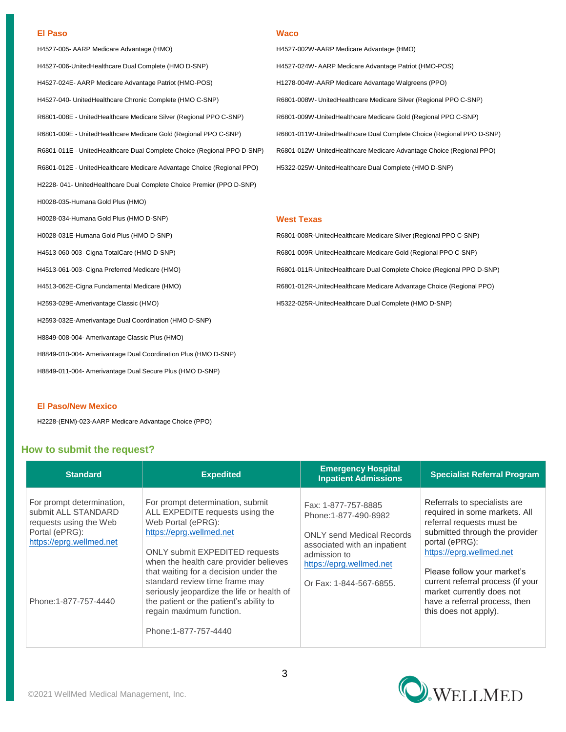## **El Paso Waco**

H4527-005- AARP Medicare Advantage (HMO) H4527-002W-AARP Medicare Advantage (HMO) H4527-006-UnitedHealthcare Dual Complete (HMO D-SNP) 
H4527-024W- AARP Medicare Advantage Patriot (HMO-POS) H4527-024E- AARP Medicare Advantage Patriot (HMO-POS) H1278-004W-AARP Medicare Advantage Walgreens (PPO) H4527-040- UnitedHealthcare Chronic Complete (HMO C-SNP) R6801-008W- UnitedHealthcare Medicare Silver (Regional PPO C-SNP) R6801-008E - UnitedHealthcare Medicare Silver (Regional PPO C-SNP) R6801-009W-UnitedHealthcare Medicare Gold (Regional PPO C-SNP) R6801-009E - UnitedHealthcare Medicare Gold (Regional PPO C-SNP) R6801-011W-UnitedHealthcare Dual Complete Choice (Regional PPO D-SNP) R6801-011E - UnitedHealthcare Dual Complete Choice (Regional PPO D-SNP) R6801-012W-UnitedHealthcare Medicare Advantage Choice (Regional PPO) R6801-012E - UnitedHealthcare Medicare Advantage Choice (Regional PPO) H5322-025W-UnitedHealthcare Dual Complete (HMO D-SNP) H2228- 041- UnitedHealthcare Dual Complete Choice Premier (PPO D-SNP) H0028-035-Humana Gold Plus (HMO) H0028-034-Humana Gold Plus (HMO D-SNP) **West Texas** H0028-031E-Humana Gold Plus (HMO D-SNP) Research Communication Communication Research Communication Communication Research Regional PPO C-SNP) H4513-060-003- Cigna TotalCare (HMO D-SNP) R6801-009R-UnitedHealthcare Medicare Gold (Regional PPO C-SNP) H4513-061-003- Cigna Preferred Medicare (HMO) R6801-011R-UnitedHealthcare Dual Complete Choice (Regional PPO D-SNP) H4513-062E-Cigna Fundamental Medicare (HMO) <br>R6801-012R-UnitedHealthcare Medicare Advantage Choice (Regional PPO) H2593-029E-Amerivantage Classic (HMO) example the state of the H5322-025R-UnitedHealthcare Dual Complete (HMO D-SNP) H2593-032E-Amerivantage Dual Coordination (HMO D-SNP) H8849-008-004- Amerivantage Classic Plus (HMO) H8849-010-004- Amerivantage Dual Coordination Plus (HMO D-SNP) H8849-011-004- Amerivantage Dual Secure Plus (HMO D-SNP)

## **El Paso/New Mexico**

H2228-(ENM)-023-AARP Medicare Advantage Choice (PPO)

## **How to submit the request?**

| <b>Standard</b>                                                                                                                                  | <b>Expedited</b>                                                                                                                                                                                                                                                                                                                                                                                                                  | <b>Emergency Hospital</b><br><b>Inpatient Admissions</b>                                                                                                                               | <b>Specialist Referral Program</b>                                                                                                                                                                                                                                                                                                    |
|--------------------------------------------------------------------------------------------------------------------------------------------------|-----------------------------------------------------------------------------------------------------------------------------------------------------------------------------------------------------------------------------------------------------------------------------------------------------------------------------------------------------------------------------------------------------------------------------------|----------------------------------------------------------------------------------------------------------------------------------------------------------------------------------------|---------------------------------------------------------------------------------------------------------------------------------------------------------------------------------------------------------------------------------------------------------------------------------------------------------------------------------------|
| For prompt determination,<br>submit ALL STANDARD<br>requests using the Web<br>Portal (ePRG):<br>https://eprg.wellmed.net<br>Phone:1-877-757-4440 | For prompt determination, submit<br>ALL EXPEDITE requests using the<br>Web Portal (ePRG):<br>https://eprg.wellmed.net<br><b>ONLY submit EXPEDITED requests</b><br>when the health care provider believes<br>that waiting for a decision under the<br>standard review time frame may<br>seriously jeopardize the life or health of<br>the patient or the patient's ability to<br>regain maximum function.<br>Phone: 1-877-757-4440 | Fax: 1-877-757-8885<br>Phone:1-877-490-8982<br><b>ONLY send Medical Records</b><br>associated with an inpatient<br>admission to<br>https://eprg.wellmed.net<br>Or Fax: 1-844-567-6855. | Referrals to specialists are<br>required in some markets. All<br>referral requests must be<br>submitted through the provider<br>portal (ePRG):<br>https://eprg.wellmed.net<br>Please follow your market's<br>current referral process (if your<br>market currently does not<br>have a referral process, then<br>this does not apply). |

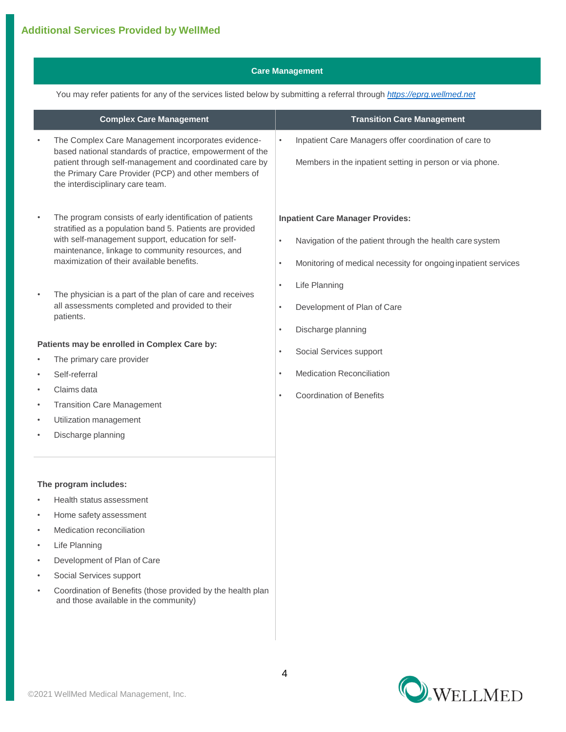## **Care Management**

You may refer patients for any of the services listed below by submitting a referral through *[https://eprg.wellmed.net](https://eprg.wellmed.net/)*

|                        | <b>Complex Care Management</b>                                                                                                                                                                                                                                                                                                                                                                         | <b>Transition Care Management</b>                                                                                                                                                                                                                                                                            |
|------------------------|--------------------------------------------------------------------------------------------------------------------------------------------------------------------------------------------------------------------------------------------------------------------------------------------------------------------------------------------------------------------------------------------------------|--------------------------------------------------------------------------------------------------------------------------------------------------------------------------------------------------------------------------------------------------------------------------------------------------------------|
| $\bullet$              | The Complex Care Management incorporates evidence-<br>based national standards of practice, empowerment of the<br>patient through self-management and coordinated care by<br>the Primary Care Provider (PCP) and other members of<br>the interdisciplinary care team.                                                                                                                                  | Inpatient Care Managers offer coordination of care to<br>Members in the inpatient setting in person or via phone.                                                                                                                                                                                            |
| $\bullet$<br>$\bullet$ | The program consists of early identification of patients<br>stratified as a population band 5. Patients are provided<br>with self-management support, education for self-<br>maintenance, linkage to community resources, and<br>maximization of their available benefits.<br>The physician is a part of the plan of care and receives<br>all assessments completed and provided to their<br>patients. | <b>Inpatient Care Manager Provides:</b><br>Navigation of the patient through the health care system<br>$\bullet$<br>Monitoring of medical necessity for ongoing inpatient services<br>$\bullet$<br>Life Planning<br>$\bullet$<br>Development of Plan of Care<br>$\bullet$<br>Discharge planning<br>$\bullet$ |
|                        | Patients may be enrolled in Complex Care by:                                                                                                                                                                                                                                                                                                                                                           | Social Services support<br>٠                                                                                                                                                                                                                                                                                 |
| $\bullet$              | The primary care provider                                                                                                                                                                                                                                                                                                                                                                              |                                                                                                                                                                                                                                                                                                              |
| $\bullet$              | Self-referral                                                                                                                                                                                                                                                                                                                                                                                          | <b>Medication Reconciliation</b>                                                                                                                                                                                                                                                                             |
| $\bullet$              | Claims data                                                                                                                                                                                                                                                                                                                                                                                            | <b>Coordination of Benefits</b>                                                                                                                                                                                                                                                                              |
| $\bullet$              | <b>Transition Care Management</b>                                                                                                                                                                                                                                                                                                                                                                      |                                                                                                                                                                                                                                                                                                              |
| $\bullet$              | Utilization management                                                                                                                                                                                                                                                                                                                                                                                 |                                                                                                                                                                                                                                                                                                              |
| ٠                      | Discharge planning                                                                                                                                                                                                                                                                                                                                                                                     |                                                                                                                                                                                                                                                                                                              |
|                        | The program includes:                                                                                                                                                                                                                                                                                                                                                                                  |                                                                                                                                                                                                                                                                                                              |
| $\bullet$              | Health status assessment                                                                                                                                                                                                                                                                                                                                                                               |                                                                                                                                                                                                                                                                                                              |
| $\bullet$              | Home safety assessment                                                                                                                                                                                                                                                                                                                                                                                 |                                                                                                                                                                                                                                                                                                              |
| $\bullet$              | Medication reconciliation                                                                                                                                                                                                                                                                                                                                                                              |                                                                                                                                                                                                                                                                                                              |
| ٠                      | Life Planning                                                                                                                                                                                                                                                                                                                                                                                          |                                                                                                                                                                                                                                                                                                              |
| ٠                      | Development of Plan of Care                                                                                                                                                                                                                                                                                                                                                                            |                                                                                                                                                                                                                                                                                                              |
| $\bullet$              | Social Services support                                                                                                                                                                                                                                                                                                                                                                                |                                                                                                                                                                                                                                                                                                              |
| ۰                      | Coordination of Benefits (those provided by the health plan<br>and those available in the community)                                                                                                                                                                                                                                                                                                   |                                                                                                                                                                                                                                                                                                              |

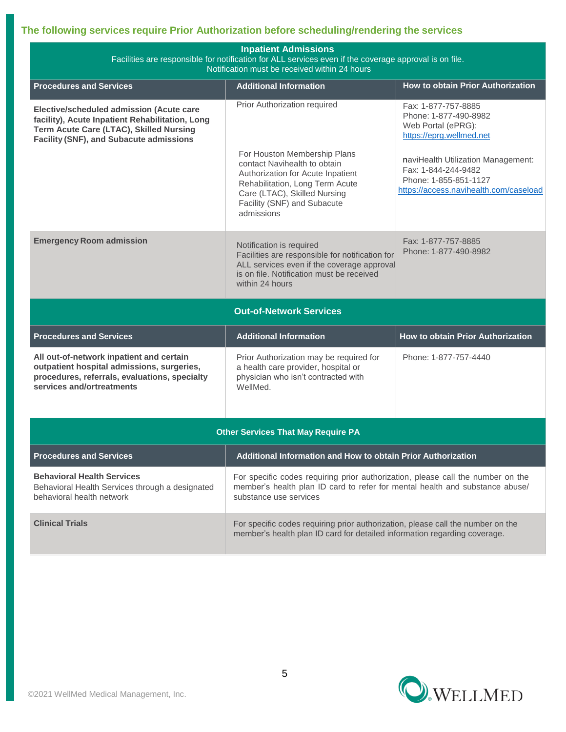## **The following services require Prior Authorization before scheduling/rendering the services**

| <b>Inpatient Admissions</b><br>Facilities are responsible for notification for ALL services even if the coverage approval is on file.<br>Notification must be received within 24 hours   |                                                                                                                                                                                                                   |                                                                                                                              |  |  |  |  |  |  |
|------------------------------------------------------------------------------------------------------------------------------------------------------------------------------------------|-------------------------------------------------------------------------------------------------------------------------------------------------------------------------------------------------------------------|------------------------------------------------------------------------------------------------------------------------------|--|--|--|--|--|--|
| <b>Procedures and Services</b>                                                                                                                                                           | <b>Additional Information</b>                                                                                                                                                                                     | How to obtain Prior Authorization                                                                                            |  |  |  |  |  |  |
| Elective/scheduled admission (Acute care<br>facility), Acute Inpatient Rehabilitation, Long<br>Term Acute Care (LTAC), Skilled Nursing<br><b>Facility (SNF), and Subacute admissions</b> | Prior Authorization required                                                                                                                                                                                      | Fax: 1-877-757-8885<br>Phone: 1-877-490-8982<br>Web Portal (ePRG):<br>https://eprg.wellmed.net                               |  |  |  |  |  |  |
|                                                                                                                                                                                          | For Houston Membership Plans<br>contact Navihealth to obtain<br>Authorization for Acute Inpatient<br>Rehabilitation, Long Term Acute<br>Care (LTAC), Skilled Nursing<br>Facility (SNF) and Subacute<br>admissions | naviHealth Utilization Management:<br>Fax: 1-844-244-9482<br>Phone: 1-855-851-1127<br>https://access.navihealth.com/caseload |  |  |  |  |  |  |
| <b>Emergency Room admission</b>                                                                                                                                                          | Notification is required<br>Facilities are responsible for notification for<br>ALL services even if the coverage approval<br>is on file. Notification must be received<br>within 24 hours                         | Fax: 1-877-757-8885<br>Phone: 1-877-490-8982                                                                                 |  |  |  |  |  |  |
|                                                                                                                                                                                          | <b>Out-of-Network Services</b>                                                                                                                                                                                    |                                                                                                                              |  |  |  |  |  |  |
| <b>Procedures and Services</b>                                                                                                                                                           | <b>Additional Information</b>                                                                                                                                                                                     | <b>How to obtain Prior Authorization</b>                                                                                     |  |  |  |  |  |  |
| All out-of-network inpatient and certain<br>outpatient hospital admissions, surgeries,<br>procedures, referrals, evaluations, specialty<br>services and/ortreatments                     | Prior Authorization may be required for<br>a health care provider, hospital or<br>physician who isn't contracted with<br>WellMed.                                                                                 | Phone: 1-877-757-4440                                                                                                        |  |  |  |  |  |  |
|                                                                                                                                                                                          | <b>Other Services That May Require PA</b>                                                                                                                                                                         |                                                                                                                              |  |  |  |  |  |  |
| <b>Procedures and Services</b>                                                                                                                                                           | Additional Information and How to obtain Prior Authorization                                                                                                                                                      |                                                                                                                              |  |  |  |  |  |  |
| <b>Behavioral Health Services</b><br>Behavioral Health Services through a designated<br>behavioral health network                                                                        | For specific codes requiring prior authorization, please call the number on the<br>member's health plan ID card to refer for mental health and substance abuse/<br>substance use services                         |                                                                                                                              |  |  |  |  |  |  |
| <b>Clinical Trials</b>                                                                                                                                                                   | For specific codes requiring prior authorization, please call the number on the<br>member's health plan ID card for detailed information regarding coverage.                                                      |                                                                                                                              |  |  |  |  |  |  |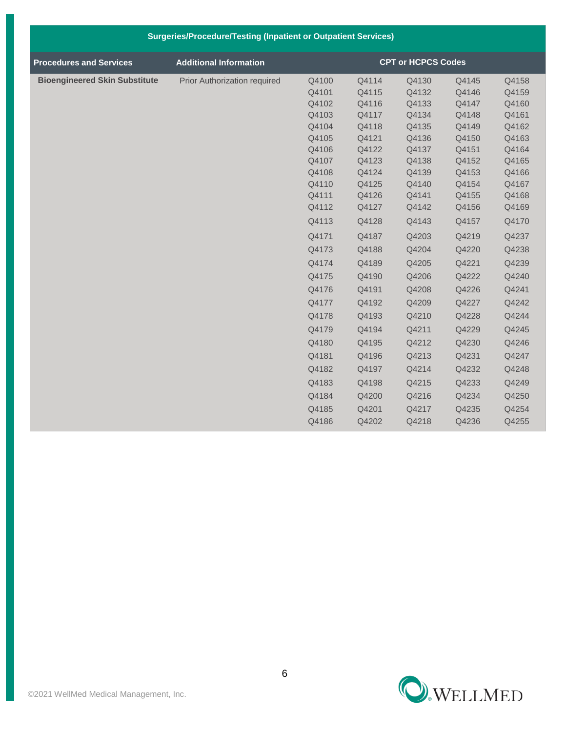|                                      | <b>Surgeries/Procedure/Testing (Inpatient or Outpatient Services)</b> |                |                |                           |                |                |
|--------------------------------------|-----------------------------------------------------------------------|----------------|----------------|---------------------------|----------------|----------------|
| <b>Procedures and Services</b>       | <b>Additional Information</b>                                         |                |                | <b>CPT or HCPCS Codes</b> |                |                |
| <b>Bioengineered Skin Substitute</b> | Prior Authorization required                                          | Q4100          | Q4114          | Q4130                     | Q4145          | Q4158          |
|                                      |                                                                       | Q4101          | Q4115          | Q4132                     | Q4146          | Q4159          |
|                                      |                                                                       | Q4102          | Q4116          | Q4133                     | Q4147          | Q4160          |
|                                      |                                                                       | Q4103          | Q4117          | Q4134                     | Q4148          | Q4161          |
|                                      |                                                                       | Q4104          | Q4118          | Q4135                     | Q4149          | Q4162          |
|                                      |                                                                       | Q4105          | Q4121          | Q4136                     | Q4150          | Q4163          |
|                                      |                                                                       | Q4106          | Q4122          | Q4137                     | Q4151          | Q4164          |
|                                      |                                                                       | Q4107          | Q4123          | Q4138                     | Q4152          | Q4165          |
|                                      |                                                                       | Q4108          | Q4124          | Q4139                     | Q4153          | Q4166          |
|                                      |                                                                       | Q4110<br>Q4111 | Q4125<br>Q4126 | Q4140<br>Q4141            | Q4154<br>Q4155 | Q4167<br>Q4168 |
|                                      |                                                                       | Q4112          | Q4127          | Q4142                     | Q4156          | Q4169          |
|                                      |                                                                       | Q4113          | Q4128          | Q4143                     | Q4157          | Q4170          |
|                                      |                                                                       | Q4171          | Q4187          | Q4203                     | Q4219          | Q4237          |
|                                      |                                                                       | Q4173          | Q4188          | Q4204                     | Q4220          | Q4238          |
|                                      |                                                                       | Q4174          | Q4189          | Q4205                     | Q4221          | Q4239          |
|                                      |                                                                       | Q4175          | Q4190          | Q4206                     | Q4222          | Q4240          |
|                                      |                                                                       | Q4176          | Q4191          | Q4208                     | Q4226          | Q4241          |
|                                      |                                                                       | Q4177          | Q4192          | Q4209                     | Q4227          | Q4242          |
|                                      |                                                                       | Q4178          | Q4193          | Q4210                     | Q4228          | Q4244          |
|                                      |                                                                       | Q4179          | Q4194          | Q4211                     | Q4229          | Q4245          |
|                                      |                                                                       | Q4180          | Q4195          | Q4212                     | Q4230          | Q4246          |
|                                      |                                                                       | Q4181          | Q4196          | Q4213                     | Q4231          | Q4247          |
|                                      |                                                                       | Q4182          | Q4197          | Q4214                     | Q4232          | Q4248          |
|                                      |                                                                       | Q4183          | Q4198          | Q4215                     | Q4233          | Q4249          |
|                                      |                                                                       | Q4184          | Q4200          | Q4216                     | Q4234          | Q4250          |
|                                      |                                                                       | Q4185          | Q4201          | Q4217                     | Q4235          | Q4254          |
|                                      |                                                                       | Q4186          | Q4202          | Q4218                     | Q4236          | Q4255          |

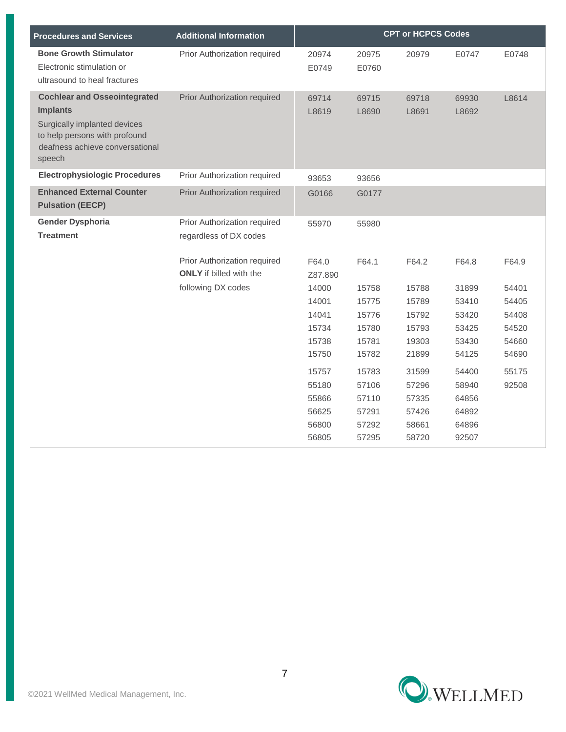| <b>Procedures and Services</b>                                                                                                                                       | <b>Additional Information</b>                                  |                                                    |                                                    | <b>CPT or HCPCS Codes</b>                          |                                                    |                |
|----------------------------------------------------------------------------------------------------------------------------------------------------------------------|----------------------------------------------------------------|----------------------------------------------------|----------------------------------------------------|----------------------------------------------------|----------------------------------------------------|----------------|
| <b>Bone Growth Stimulator</b><br>Electronic stimulation or<br>ultrasound to heal fractures                                                                           | Prior Authorization required                                   | 20974<br>E0749                                     | 20975<br>E0760                                     | 20979                                              | E0747                                              | E0748          |
| <b>Cochlear and Osseointegrated</b><br><b>Implants</b><br>Surgically implanted devices<br>to help persons with profound<br>deafness achieve conversational<br>speech | Prior Authorization required                                   | 69714<br>L8619                                     | 69715<br>L8690                                     | 69718<br>L8691                                     | 69930<br>L8692                                     | L8614          |
| <b>Electrophysiologic Procedures</b>                                                                                                                                 | Prior Authorization required                                   | 93653                                              | 93656                                              |                                                    |                                                    |                |
| <b>Enhanced External Counter</b><br><b>Pulsation (EECP)</b>                                                                                                          | Prior Authorization required                                   | G0166                                              | G0177                                              |                                                    |                                                    |                |
| <b>Gender Dysphoria</b><br><b>Treatment</b>                                                                                                                          | Prior Authorization required<br>regardless of DX codes         | 55970                                              | 55980                                              |                                                    |                                                    |                |
|                                                                                                                                                                      | Prior Authorization required<br><b>ONLY</b> if billed with the | F64.0<br>Z87.890                                   | F64.1                                              | F64.2                                              | F64.8                                              | F64.9          |
|                                                                                                                                                                      | following DX codes                                             | 14000                                              | 15758                                              | 15788                                              | 31899                                              | 54401          |
|                                                                                                                                                                      |                                                                | 14001                                              | 15775                                              | 15789                                              | 53410                                              | 54405          |
|                                                                                                                                                                      |                                                                | 14041                                              | 15776                                              | 15792                                              | 53420                                              | 54408          |
|                                                                                                                                                                      |                                                                | 15734                                              | 15780                                              | 15793                                              | 53425                                              | 54520          |
|                                                                                                                                                                      |                                                                | 15738<br>15750                                     | 15781<br>15782                                     | 19303<br>21899                                     | 53430<br>54125                                     | 54660<br>54690 |
|                                                                                                                                                                      |                                                                | 15757<br>55180<br>55866<br>56625<br>56800<br>56805 | 15783<br>57106<br>57110<br>57291<br>57292<br>57295 | 31599<br>57296<br>57335<br>57426<br>58661<br>58720 | 54400<br>58940<br>64856<br>64892<br>64896<br>92507 | 55175<br>92508 |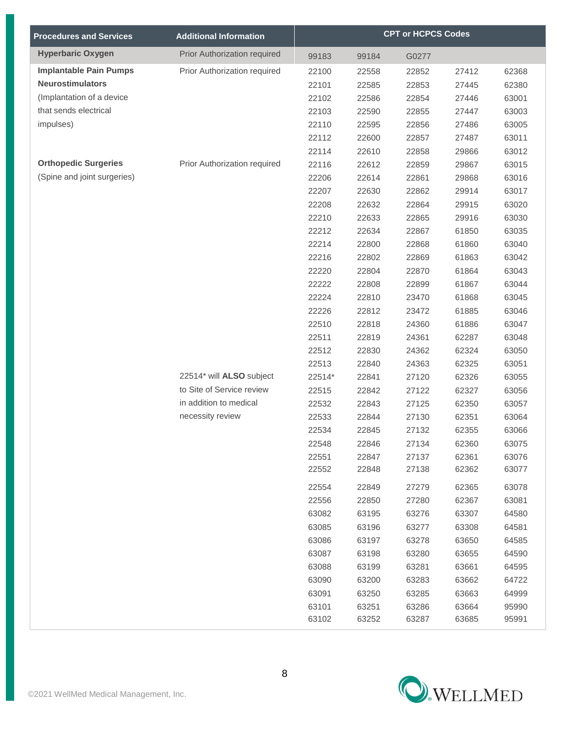| <b>Procedures and Services</b> | <b>Additional Information</b> | <b>CPT or HCPCS Codes</b> |       |       |       |       |
|--------------------------------|-------------------------------|---------------------------|-------|-------|-------|-------|
| <b>Hyperbaric Oxygen</b>       | Prior Authorization required  | 99183                     | 99184 | G0277 |       |       |
| <b>Implantable Pain Pumps</b>  | Prior Authorization required  | 22100                     | 22558 | 22852 | 27412 | 62368 |
| <b>Neurostimulators</b>        |                               | 22101                     | 22585 | 22853 | 27445 | 62380 |
| (Implantation of a device      |                               | 22102                     | 22586 | 22854 | 27446 | 63001 |
| that sends electrical          |                               | 22103                     | 22590 | 22855 | 27447 | 63003 |
| impulses)                      |                               | 22110                     | 22595 | 22856 | 27486 | 63005 |
|                                |                               | 22112                     | 22600 | 22857 | 27487 | 63011 |
|                                |                               | 22114                     | 22610 | 22858 | 29866 | 63012 |
| <b>Orthopedic Surgeries</b>    | Prior Authorization required  | 22116                     | 22612 | 22859 | 29867 | 63015 |
| (Spine and joint surgeries)    |                               | 22206                     | 22614 | 22861 | 29868 | 63016 |
|                                |                               | 22207                     | 22630 | 22862 | 29914 | 63017 |
|                                |                               | 22208                     | 22632 | 22864 | 29915 | 63020 |
|                                |                               | 22210                     | 22633 | 22865 | 29916 | 63030 |
|                                |                               | 22212                     | 22634 | 22867 | 61850 | 63035 |
|                                |                               | 22214                     | 22800 | 22868 | 61860 | 63040 |
|                                |                               | 22216                     | 22802 | 22869 | 61863 | 63042 |
|                                |                               | 22220                     | 22804 | 22870 | 61864 | 63043 |
|                                |                               | 22222                     | 22808 | 22899 | 61867 | 63044 |
|                                |                               | 22224                     | 22810 | 23470 | 61868 | 63045 |
|                                |                               | 22226                     | 22812 | 23472 | 61885 | 63046 |
|                                |                               | 22510                     | 22818 | 24360 | 61886 | 63047 |
|                                |                               | 22511                     | 22819 | 24361 | 62287 | 63048 |
|                                |                               | 22512                     | 22830 | 24362 | 62324 | 63050 |
|                                |                               | 22513                     | 22840 | 24363 | 62325 | 63051 |
|                                | 22514* will ALSO subject      | 22514*                    | 22841 | 27120 | 62326 | 63055 |
|                                | to Site of Service review     | 22515                     | 22842 | 27122 | 62327 | 63056 |
|                                | in addition to medical        | 22532                     | 22843 | 27125 | 62350 | 63057 |
|                                | necessity review              | 22533                     | 22844 | 27130 | 62351 | 63064 |
|                                |                               | 22534                     | 22845 | 27132 | 62355 | 63066 |
|                                |                               | 22548                     | 22846 | 27134 | 62360 | 63075 |
|                                |                               | 22551                     | 22847 | 27137 | 62361 | 63076 |
|                                |                               | 22552                     | 22848 | 27138 | 62362 | 63077 |
|                                |                               | 22554                     | 22849 | 27279 | 62365 | 63078 |
|                                |                               | 22556                     | 22850 | 27280 | 62367 | 63081 |
|                                |                               | 63082                     | 63195 | 63276 | 63307 | 64580 |
|                                |                               | 63085                     | 63196 | 63277 | 63308 | 64581 |
|                                |                               | 63086                     | 63197 | 63278 | 63650 | 64585 |
|                                |                               | 63087                     | 63198 | 63280 | 63655 | 64590 |
|                                |                               | 63088                     | 63199 | 63281 | 63661 | 64595 |
|                                |                               | 63090                     | 63200 | 63283 | 63662 | 64722 |
|                                |                               | 63091                     | 63250 | 63285 | 63663 | 64999 |
|                                |                               | 63101                     | 63251 | 63286 | 63664 | 95990 |
|                                |                               | 63102                     | 63252 | 63287 | 63685 | 95991 |

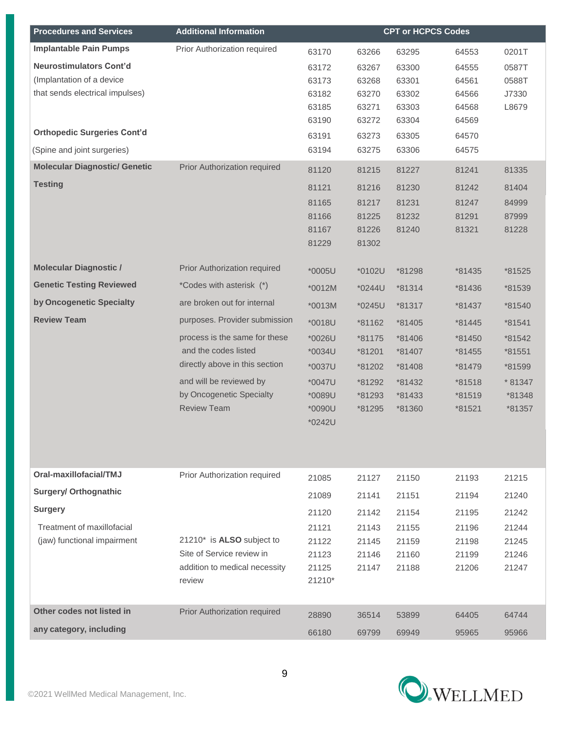| <b>Procedures and Services</b>       | <b>Additional Information</b>  |        |        | <b>CPT or HCPCS Codes</b> |        |         |
|--------------------------------------|--------------------------------|--------|--------|---------------------------|--------|---------|
| <b>Implantable Pain Pumps</b>        | Prior Authorization required   | 63170  | 63266  | 63295                     | 64553  | 0201T   |
| Neurostimulators Cont'd              |                                | 63172  | 63267  | 63300                     | 64555  | 0587T   |
| (Implantation of a device            |                                | 63173  | 63268  | 63301                     | 64561  | 0588T   |
| that sends electrical impulses)      |                                | 63182  | 63270  | 63302                     | 64566  | J7330   |
|                                      |                                | 63185  | 63271  | 63303                     | 64568  | L8679   |
|                                      |                                | 63190  | 63272  | 63304                     | 64569  |         |
| <b>Orthopedic Surgeries Cont'd</b>   |                                | 63191  | 63273  | 63305                     | 64570  |         |
| (Spine and joint surgeries)          |                                | 63194  | 63275  | 63306                     | 64575  |         |
| <b>Molecular Diagnostic/ Genetic</b> | Prior Authorization required   | 81120  | 81215  | 81227                     | 81241  | 81335   |
| <b>Testing</b>                       |                                | 81121  | 81216  | 81230                     | 81242  | 81404   |
|                                      |                                | 81165  | 81217  | 81231                     | 81247  | 84999   |
|                                      |                                | 81166  | 81225  | 81232                     | 81291  | 87999   |
|                                      |                                | 81167  | 81226  | 81240                     | 81321  | 81228   |
|                                      |                                | 81229  | 81302  |                           |        |         |
| <b>Molecular Diagnostic /</b>        | Prior Authorization required   | *0005U | *0102U | *81298                    | *81435 | *81525  |
| <b>Genetic Testing Reviewed</b>      | *Codes with asterisk (*)       | *0012M | *0244U | *81314                    | *81436 | *81539  |
| by Oncogenetic Specialty             | are broken out for internal    | *0013M | *0245U | *81317                    | *81437 | *81540  |
| <b>Review Team</b>                   | purposes. Provider submission  | *0018U | *81162 | *81405                    | *81445 | *81541  |
|                                      | process is the same for these  | *0026U | *81175 | *81406                    | *81450 | *81542  |
|                                      | and the codes listed           | *0034U | *81201 | *81407                    | *81455 | *81551  |
|                                      | directly above in this section | *0037U | *81202 | *81408                    | *81479 | *81599  |
|                                      | and will be reviewed by        | *0047U | *81292 | *81432                    | *81518 | * 81347 |
|                                      | by Oncogenetic Specialty       | *0089U | *81293 | *81433                    | *81519 | *81348  |
|                                      | <b>Review Team</b>             | *0090U | *81295 | *81360                    | *81521 | *81357  |
|                                      |                                | *0242U |        |                           |        |         |
|                                      |                                |        |        |                           |        |         |
|                                      |                                |        |        |                           |        |         |
| Oral-maxillofacial/TMJ               | Prior Authorization required   | 21085  | 21127  | 21150                     | 21193  | 21215   |
| <b>Surgery/ Orthognathic</b>         |                                | 21089  | 21141  | 21151                     | 21194  | 21240   |
| <b>Surgery</b>                       |                                | 21120  | 21142  | 21154                     | 21195  | 21242   |
| Treatment of maxillofacial           |                                | 21121  | 21143  | 21155                     | 21196  | 21244   |
| (jaw) functional impairment          | 21210* is ALSO subject to      | 21122  | 21145  | 21159                     | 21198  | 21245   |
|                                      | Site of Service review in      | 21123  | 21146  | 21160                     | 21199  | 21246   |
|                                      | addition to medical necessity  | 21125  | 21147  | 21188                     | 21206  | 21247   |
|                                      | review                         | 21210* |        |                           |        |         |
| Other codes not listed in            | Prior Authorization required   |        |        |                           |        |         |
| any category, including              |                                | 28890  | 36514  | 53899                     | 64405  | 64744   |
|                                      |                                | 66180  | 69799  | 69949                     | 95965  | 95966   |

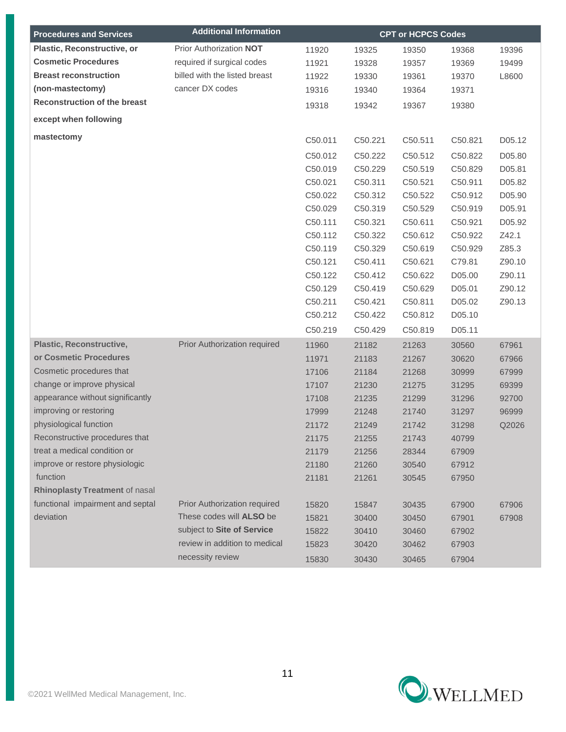| <b>Procedures and Services</b>      | <b>Additional Information</b> | <b>CPT or HCPCS Codes</b> |         |         |         |        |
|-------------------------------------|-------------------------------|---------------------------|---------|---------|---------|--------|
| Plastic, Reconstructive, or         | Prior Authorization NOT       | 11920                     | 19325   | 19350   | 19368   | 19396  |
| <b>Cosmetic Procedures</b>          | required if surgical codes    | 11921                     | 19328   | 19357   | 19369   | 19499  |
| <b>Breast reconstruction</b>        | billed with the listed breast | 11922                     | 19330   | 19361   | 19370   | L8600  |
| (non-mastectomy)                    | cancer DX codes               | 19316                     | 19340   | 19364   | 19371   |        |
| <b>Reconstruction of the breast</b> |                               | 19318                     | 19342   | 19367   | 19380   |        |
| except when following               |                               |                           |         |         |         |        |
| mastectomy                          |                               | C50.011                   | C50.221 | C50.511 | C50.821 | D05.12 |
|                                     |                               | C50.012                   | C50.222 | C50.512 | C50.822 | D05.80 |
|                                     |                               | C50.019                   | C50.229 | C50.519 | C50.829 | D05.81 |
|                                     |                               | C50.021                   | C50.311 | C50.521 | C50.911 | D05.82 |
|                                     |                               | C50.022                   | C50.312 | C50.522 | C50.912 | D05.90 |
|                                     |                               | C50.029                   | C50.319 | C50.529 | C50.919 | D05.91 |
|                                     |                               | C50.111                   | C50.321 | C50.611 | C50.921 | D05.92 |
|                                     |                               | C50.112                   | C50.322 | C50.612 | C50.922 | Z42.1  |
|                                     |                               | C50.119                   | C50.329 | C50.619 | C50.929 | Z85.3  |
|                                     |                               | C50.121                   | C50.411 | C50.621 | C79.81  | Z90.10 |
|                                     |                               | C50.122                   | C50.412 | C50.622 | D05.00  | Z90.11 |
|                                     |                               | C50.129                   | C50.419 | C50.629 | D05.01  | Z90.12 |
|                                     |                               | C50.211                   | C50.421 | C50.811 | D05.02  | Z90.13 |
|                                     |                               | C50.212                   | C50.422 | C50.812 | D05.10  |        |
|                                     |                               | C50.219                   | C50.429 | C50.819 | D05.11  |        |
| <b>Plastic, Reconstructive,</b>     | Prior Authorization required  | 11960                     | 21182   | 21263   | 30560   | 67961  |
| or Cosmetic Procedures              |                               | 11971                     | 21183   | 21267   | 30620   | 67966  |
| Cosmetic procedures that            |                               | 17106                     | 21184   | 21268   | 30999   | 67999  |
| change or improve physical          |                               | 17107                     | 21230   | 21275   | 31295   | 69399  |
| appearance without significantly    |                               | 17108                     | 21235   | 21299   | 31296   | 92700  |
| improving or restoring              |                               | 17999                     | 21248   | 21740   | 31297   | 96999  |
| physiological function              |                               | 21172                     | 21249   | 21742   | 31298   | Q2026  |
| Reconstructive procedures that      |                               | 21175                     | 21255   | 21743   | 40799   |        |
| treat a medical condition or        |                               | 21179                     | 21256   | 28344   | 67909   |        |
| improve or restore physiologic      |                               | 21180                     | 21260   | 30540   | 67912   |        |
| function                            |                               | 21181                     | 21261   | 30545   | 67950   |        |
| Rhinoplasty Treatment of nasal      |                               |                           |         |         |         |        |
| functional impairment and septal    | Prior Authorization required  | 15820                     | 15847   | 30435   | 67900   | 67906  |
| deviation                           | These codes will ALSO be      | 15821                     | 30400   | 30450   | 67901   | 67908  |
|                                     | subject to Site of Service    | 15822                     | 30410   | 30460   | 67902   |        |
|                                     | review in addition to medical | 15823                     | 30420   | 30462   | 67903   |        |
|                                     | necessity review              | 15830                     | 30430   | 30465   | 67904   |        |

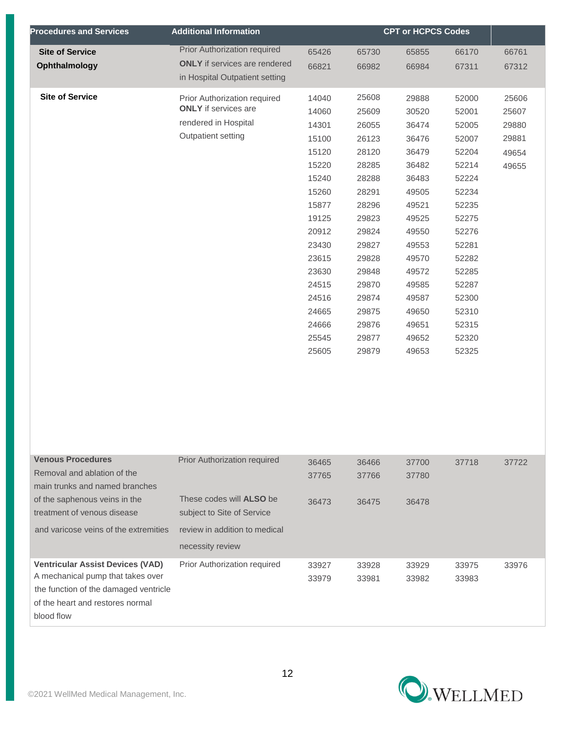| <b>Procedures and Services</b> | <b>Additional Information</b>        | <b>CPT or HCPCS Codes</b> |       |       |       |       |
|--------------------------------|--------------------------------------|---------------------------|-------|-------|-------|-------|
| <b>Site of Service</b>         | Prior Authorization required         | 65426                     | 65730 | 65855 | 66170 | 66761 |
| Ophthalmology                  | <b>ONLY</b> if services are rendered | 66821                     | 66982 | 66984 | 67311 | 67312 |
|                                | in Hospital Outpatient setting       |                           |       |       |       |       |
| <b>Site of Service</b>         | Prior Authorization required         | 14040                     | 25608 | 29888 | 52000 | 25606 |
|                                | <b>ONLY</b> if services are          | 14060                     | 25609 | 30520 | 52001 | 25607 |
|                                | rendered in Hospital                 | 14301                     | 26055 | 36474 | 52005 | 29880 |
|                                |                                      | 15100                     | 26123 | 36476 | 52007 | 29881 |
|                                | Outpatient setting                   | 15120                     | 28120 | 36479 | 52204 | 49654 |
|                                | 15220                                | 28285                     | 36482 | 52214 | 49655 |       |
|                                |                                      | 15240                     | 28288 | 36483 | 52224 |       |
|                                |                                      | 15260                     | 28291 | 49505 | 52234 |       |
|                                |                                      | 15877                     | 28296 | 49521 | 52235 |       |
|                                |                                      | 19125                     | 29823 | 49525 | 52275 |       |
|                                |                                      | 20912                     | 29824 | 49550 | 52276 |       |
|                                |                                      | 23430                     | 29827 | 49553 | 52281 |       |
|                                |                                      | 23615                     | 29828 | 49570 | 52282 |       |
|                                |                                      | 23630                     | 29848 | 49572 | 52285 |       |
|                                |                                      | 24515                     | 29870 | 49585 | 52287 |       |
|                                |                                      | 24516                     | 29874 | 49587 | 52300 |       |
|                                |                                      | 24665                     | 29875 | 49650 | 52310 |       |
|                                |                                      | 24666                     | 29876 | 49651 | 52315 |       |
|                                |                                      | 25545                     | 29877 | 49652 | 52320 |       |
|                                |                                      | 25605                     | 29879 | 49653 | 52325 |       |
|                                |                                      |                           |       |       |       |       |
|                                |                                      |                           |       |       |       |       |
|                                |                                      |                           |       |       |       |       |

| <b>Venous Procedures</b><br>Removal and ablation of the<br>main trunks and named branches                                                                               | <b>Prior Authorization required</b>                                                                                | 36465<br>37765 | 36466<br>37766 | 37700<br>37780 | 37718          | 37722 |
|-------------------------------------------------------------------------------------------------------------------------------------------------------------------------|--------------------------------------------------------------------------------------------------------------------|----------------|----------------|----------------|----------------|-------|
| of the saphenous veins in the<br>treatment of venous disease<br>and varicose veins of the extremities                                                                   | These codes will <b>ALSO</b> be<br>subject to Site of Service<br>review in addition to medical<br>necessity review | 36473          | 36475          | 36478          |                |       |
| <b>Ventricular Assist Devices (VAD)</b><br>A mechanical pump that takes over<br>the function of the damaged ventricle<br>of the heart and restores normal<br>blood flow | Prior Authorization required                                                                                       | 33927<br>33979 | 33928<br>33981 | 33929<br>33982 | 33975<br>33983 | 33976 |

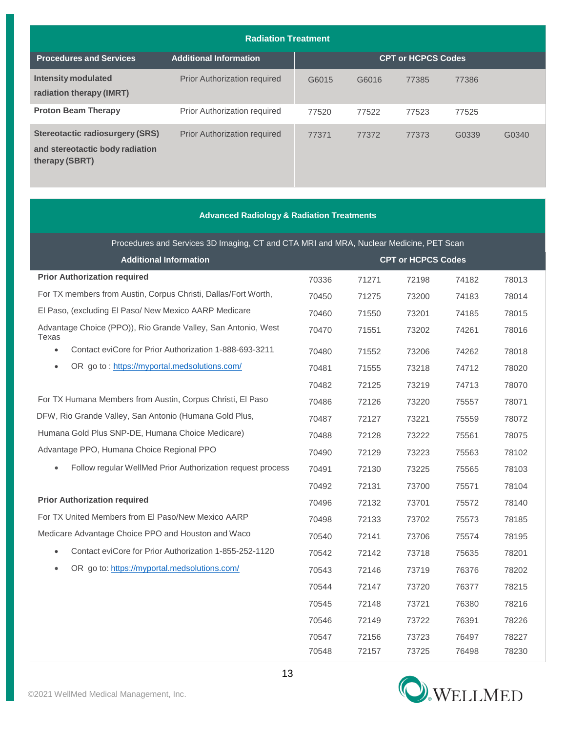| <b>Radiation Treatment</b>                                                           |                                     |                           |       |       |       |       |  |  |
|--------------------------------------------------------------------------------------|-------------------------------------|---------------------------|-------|-------|-------|-------|--|--|
| <b>Procedures and Services</b>                                                       | <b>Additional Information</b>       | <b>CPT or HCPCS Codes</b> |       |       |       |       |  |  |
| Intensity modulated<br>radiation therapy (IMRT)                                      | <b>Prior Authorization required</b> | G6015                     | G6016 | 77385 | 77386 |       |  |  |
| <b>Proton Beam Therapy</b>                                                           | Prior Authorization required        | 77520                     | 77522 | 77523 | 77525 |       |  |  |
| Stereotactic radiosurgery (SRS)<br>and stereotactic body radiation<br>therapy (SBRT) | <b>Prior Authorization required</b> | 77371                     | 77372 | 77373 | G0339 | G0340 |  |  |

| <b>Advanced Radiology &amp; Radiation Treatments</b>                                   |       |       |                           |       |       |  |  |
|----------------------------------------------------------------------------------------|-------|-------|---------------------------|-------|-------|--|--|
| Procedures and Services 3D Imaging, CT and CTA MRI and MRA, Nuclear Medicine, PET Scan |       |       |                           |       |       |  |  |
| <b>Additional Information</b>                                                          |       |       | <b>CPT or HCPCS Codes</b> |       |       |  |  |
| <b>Prior Authorization required</b>                                                    | 70336 | 71271 | 72198                     | 74182 | 78013 |  |  |
| For TX members from Austin, Corpus Christi, Dallas/Fort Worth,                         | 70450 | 71275 | 73200                     | 74183 | 78014 |  |  |
| El Paso, (excluding El Paso/ New Mexico AARP Medicare                                  | 70460 | 71550 | 73201                     | 74185 | 78015 |  |  |
| Advantage Choice (PPO)), Rio Grande Valley, San Antonio, West<br>Texas                 | 70470 | 71551 | 73202                     | 74261 | 78016 |  |  |
| Contact eviCore for Prior Authorization 1-888-693-3211<br>$\bullet$                    | 70480 | 71552 | 73206                     | 74262 | 78018 |  |  |
| OR go to: https://myportal.medsolutions.com/<br>$\bullet$                              | 70481 | 71555 | 73218                     | 74712 | 78020 |  |  |
|                                                                                        | 70482 | 72125 | 73219                     | 74713 | 78070 |  |  |
| For TX Humana Members from Austin, Corpus Christi, El Paso                             | 70486 | 72126 | 73220                     | 75557 | 78071 |  |  |
| DFW, Rio Grande Valley, San Antonio (Humana Gold Plus,                                 | 70487 | 72127 | 73221                     | 75559 | 78072 |  |  |
| Humana Gold Plus SNP-DE, Humana Choice Medicare)                                       | 70488 | 72128 | 73222                     | 75561 | 78075 |  |  |
| Advantage PPO, Humana Choice Regional PPO                                              | 70490 | 72129 | 73223                     | 75563 | 78102 |  |  |
| Follow regular WellMed Prior Authorization request process                             | 70491 | 72130 | 73225                     | 75565 | 78103 |  |  |
|                                                                                        | 70492 | 72131 | 73700                     | 75571 | 78104 |  |  |
| <b>Prior Authorization required</b>                                                    | 70496 | 72132 | 73701                     | 75572 | 78140 |  |  |
| For TX United Members from El Paso/New Mexico AARP                                     | 70498 | 72133 | 73702                     | 75573 | 78185 |  |  |
| Medicare Advantage Choice PPO and Houston and Waco                                     | 70540 | 72141 | 73706                     | 75574 | 78195 |  |  |
| Contact eviCore for Prior Authorization 1-855-252-1120<br>$\bullet$                    | 70542 | 72142 | 73718                     | 75635 | 78201 |  |  |
| OR go to: https://myportal.medsolutions.com/<br>$\bullet$                              | 70543 | 72146 | 73719                     | 76376 | 78202 |  |  |
|                                                                                        | 70544 | 72147 | 73720                     | 76377 | 78215 |  |  |
|                                                                                        | 70545 | 72148 | 73721                     | 76380 | 78216 |  |  |
|                                                                                        | 70546 | 72149 | 73722                     | 76391 | 78226 |  |  |
|                                                                                        | 70547 | 72156 | 73723                     | 76497 | 78227 |  |  |
|                                                                                        | 70548 | 72157 | 73725                     | 76498 | 78230 |  |  |

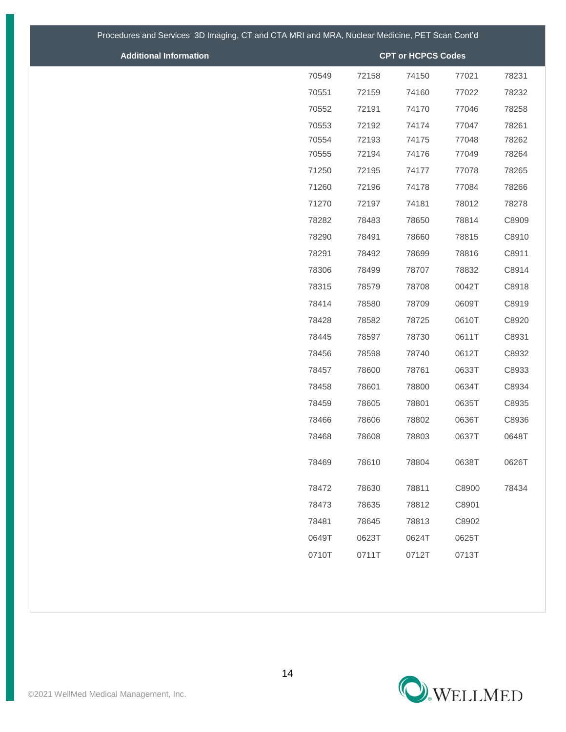| Procedures and Services 3D Imaging, CT and CTA MRI and MRA, Nuclear Medicine, PET Scan Cont'd |       |       |                           |       |       |  |  |  |  |
|-----------------------------------------------------------------------------------------------|-------|-------|---------------------------|-------|-------|--|--|--|--|
| <b>Additional Information</b>                                                                 |       |       | <b>CPT or HCPCS Codes</b> |       |       |  |  |  |  |
|                                                                                               | 70549 | 72158 | 74150                     | 77021 | 78231 |  |  |  |  |
|                                                                                               | 70551 | 72159 | 74160                     | 77022 | 78232 |  |  |  |  |
|                                                                                               | 70552 | 72191 | 74170                     | 77046 | 78258 |  |  |  |  |
|                                                                                               | 70553 | 72192 | 74174                     | 77047 | 78261 |  |  |  |  |
|                                                                                               | 70554 | 72193 | 74175                     | 77048 | 78262 |  |  |  |  |
|                                                                                               | 70555 | 72194 | 74176                     | 77049 | 78264 |  |  |  |  |
|                                                                                               | 71250 | 72195 | 74177                     | 77078 | 78265 |  |  |  |  |
|                                                                                               | 71260 | 72196 | 74178                     | 77084 | 78266 |  |  |  |  |
|                                                                                               | 71270 | 72197 | 74181                     | 78012 | 78278 |  |  |  |  |
|                                                                                               | 78282 | 78483 | 78650                     | 78814 | C8909 |  |  |  |  |
|                                                                                               | 78290 | 78491 | 78660                     | 78815 | C8910 |  |  |  |  |
|                                                                                               | 78291 | 78492 | 78699                     | 78816 | C8911 |  |  |  |  |
|                                                                                               | 78306 | 78499 | 78707                     | 78832 | C8914 |  |  |  |  |
|                                                                                               | 78315 | 78579 | 78708                     | 0042T | C8918 |  |  |  |  |
|                                                                                               | 78414 | 78580 | 78709                     | 0609T | C8919 |  |  |  |  |
|                                                                                               | 78428 | 78582 | 78725                     | 0610T | C8920 |  |  |  |  |
|                                                                                               | 78445 | 78597 | 78730                     | 0611T | C8931 |  |  |  |  |
|                                                                                               | 78456 | 78598 | 78740                     | 0612T | C8932 |  |  |  |  |
|                                                                                               | 78457 | 78600 | 78761                     | 0633T | C8933 |  |  |  |  |
|                                                                                               | 78458 | 78601 | 78800                     | 0634T | C8934 |  |  |  |  |
|                                                                                               | 78459 | 78605 | 78801                     | 0635T | C8935 |  |  |  |  |
|                                                                                               | 78466 | 78606 | 78802                     | 0636T | C8936 |  |  |  |  |
|                                                                                               | 78468 | 78608 | 78803                     | 0637T | 0648T |  |  |  |  |
|                                                                                               | 78469 | 78610 | 78804                     | 0638T | 0626T |  |  |  |  |
|                                                                                               | 78472 | 78630 | 78811                     | C8900 | 78434 |  |  |  |  |
|                                                                                               | 78473 | 78635 | 78812                     | C8901 |       |  |  |  |  |
|                                                                                               | 78481 | 78645 | 78813                     | C8902 |       |  |  |  |  |
|                                                                                               | 0649T | 0623T | 0624T                     | 0625T |       |  |  |  |  |
|                                                                                               | 0710T | 0711T | 0712T                     | 0713T |       |  |  |  |  |

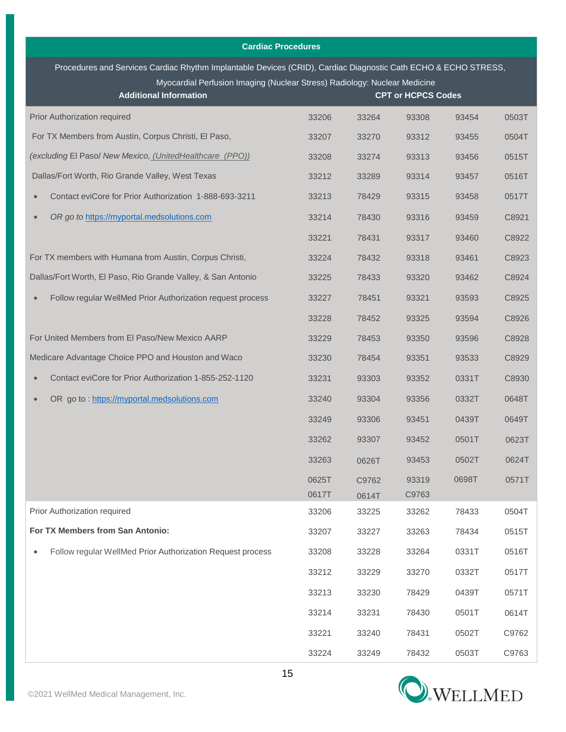| <b>Cardiac Procedures</b>                                                                                                                                                                                                    |       |       |                           |       |       |  |  |
|------------------------------------------------------------------------------------------------------------------------------------------------------------------------------------------------------------------------------|-------|-------|---------------------------|-------|-------|--|--|
| Procedures and Services Cardiac Rhythm Implantable Devices (CRID), Cardiac Diagnostic Cath ECHO & ECHO STRESS,<br>Myocardial Perfusion Imaging (Nuclear Stress) Radiology: Nuclear Medicine<br><b>Additional Information</b> |       |       | <b>CPT or HCPCS Codes</b> |       |       |  |  |
| Prior Authorization required                                                                                                                                                                                                 | 33206 | 33264 | 93308                     | 93454 | 0503T |  |  |
| For TX Members from Austin, Corpus Christi, El Paso,                                                                                                                                                                         | 33207 | 33270 | 93312                     | 93455 | 0504T |  |  |
| (excluding El Paso/ New Mexico, (UnitedHealthcare (PPO))                                                                                                                                                                     | 33208 | 33274 | 93313                     | 93456 | 0515T |  |  |
| Dallas/Fort Worth, Rio Grande Valley, West Texas                                                                                                                                                                             | 33212 | 33289 | 93314                     | 93457 | 0516T |  |  |
| Contact eviCore for Prior Authorization 1-888-693-3211<br>$\bullet$                                                                                                                                                          | 33213 | 78429 | 93315                     | 93458 | 0517T |  |  |
| OR go to https://myportal.medsolutions.com<br>$\bullet$                                                                                                                                                                      | 33214 | 78430 | 93316                     | 93459 | C8921 |  |  |
|                                                                                                                                                                                                                              | 33221 | 78431 | 93317                     | 93460 | C8922 |  |  |
| For TX members with Humana from Austin, Corpus Christi,                                                                                                                                                                      | 33224 | 78432 | 93318                     | 93461 | C8923 |  |  |
| Dallas/Fort Worth, El Paso, Rio Grande Valley, & San Antonio                                                                                                                                                                 | 33225 | 78433 | 93320                     | 93462 | C8924 |  |  |
| Follow regular WellMed Prior Authorization request process<br>$\bullet$                                                                                                                                                      | 33227 | 78451 | 93321                     | 93593 | C8925 |  |  |
|                                                                                                                                                                                                                              | 33228 | 78452 | 93325                     | 93594 | C8926 |  |  |
| For United Members from El Paso/New Mexico AARP                                                                                                                                                                              | 33229 | 78453 | 93350                     | 93596 | C8928 |  |  |
| Medicare Advantage Choice PPO and Houston and Waco                                                                                                                                                                           | 33230 | 78454 | 93351                     | 93533 | C8929 |  |  |
| Contact eviCore for Prior Authorization 1-855-252-1120<br>$\bullet$                                                                                                                                                          | 33231 | 93303 | 93352                     | 0331T | C8930 |  |  |
| OR go to: https://myportal.medsolutions.com<br>$\bullet$                                                                                                                                                                     | 33240 | 93304 | 93356                     | 0332T | 0648T |  |  |
|                                                                                                                                                                                                                              | 33249 | 93306 | 93451                     | 0439T | 0649T |  |  |
|                                                                                                                                                                                                                              | 33262 | 93307 | 93452                     | 0501T | 0623T |  |  |
|                                                                                                                                                                                                                              | 33263 | 0626T | 93453                     | 0502T | 0624T |  |  |
|                                                                                                                                                                                                                              | 0625T | C9762 | 93319                     | 0698T | 0571T |  |  |
|                                                                                                                                                                                                                              | 0617T | 0614T | C9763                     |       |       |  |  |
| Prior Authorization required                                                                                                                                                                                                 | 33206 | 33225 | 33262                     | 78433 | 0504T |  |  |
| For TX Members from San Antonio:                                                                                                                                                                                             | 33207 | 33227 | 33263                     | 78434 | 0515T |  |  |
| Follow regular WellMed Prior Authorization Request process<br>$\bullet$                                                                                                                                                      | 33208 | 33228 | 33264                     | 0331T | 0516T |  |  |
|                                                                                                                                                                                                                              | 33212 | 33229 | 33270                     | 0332T | 0517T |  |  |
|                                                                                                                                                                                                                              | 33213 | 33230 | 78429                     | 0439T | 0571T |  |  |
|                                                                                                                                                                                                                              | 33214 | 33231 | 78430                     | 0501T | 0614T |  |  |
|                                                                                                                                                                                                                              | 33221 | 33240 | 78431                     | 0502T | C9762 |  |  |
|                                                                                                                                                                                                                              | 33224 | 33249 | 78432                     | 0503T | C9763 |  |  |

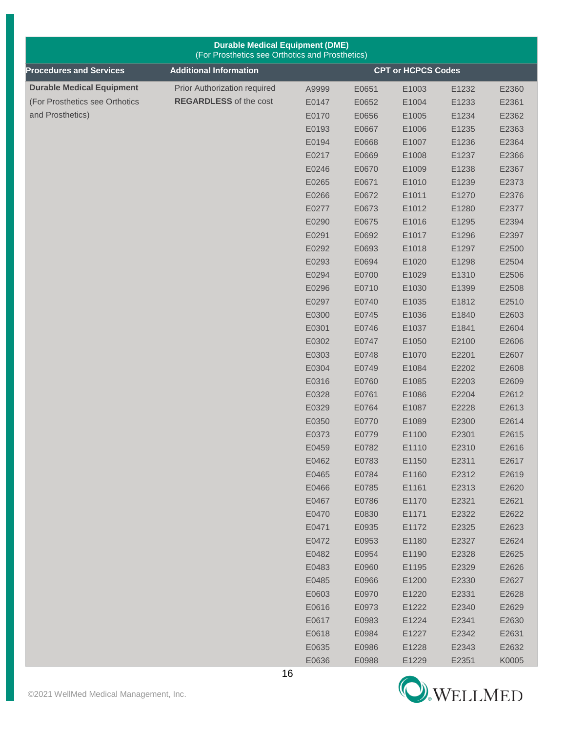| <b>Durable Medical Equipment (DME)</b><br>(For Prosthetics see Orthotics and Prosthetics) |                               |       |       |                           |       |       |
|-------------------------------------------------------------------------------------------|-------------------------------|-------|-------|---------------------------|-------|-------|
| <b>Procedures and Services</b>                                                            | <b>Additional Information</b> |       |       | <b>CPT or HCPCS Codes</b> |       |       |
| <b>Durable Medical Equipment</b>                                                          | Prior Authorization required  | A9999 | E0651 | E1003                     | E1232 | E2360 |
| (For Prosthetics see Orthotics                                                            | <b>REGARDLESS</b> of the cost | E0147 | E0652 | E1004                     | E1233 | E2361 |
| and Prosthetics)                                                                          |                               | E0170 | E0656 | E1005                     | E1234 | E2362 |
|                                                                                           |                               | E0193 | E0667 | E1006                     | E1235 | E2363 |
|                                                                                           |                               | E0194 | E0668 | E1007                     | E1236 | E2364 |
|                                                                                           |                               | E0217 | E0669 | E1008                     | E1237 | E2366 |
|                                                                                           |                               | E0246 | E0670 | E1009                     | E1238 | E2367 |
|                                                                                           |                               | E0265 | E0671 | E1010                     | E1239 | E2373 |
|                                                                                           |                               | E0266 | E0672 | E1011                     | E1270 | E2376 |
|                                                                                           |                               | E0277 | E0673 | E1012                     | E1280 | E2377 |
|                                                                                           |                               | E0290 | E0675 | E1016                     | E1295 | E2394 |
|                                                                                           |                               | E0291 | E0692 | E1017                     | E1296 | E2397 |
|                                                                                           |                               | E0292 | E0693 | E1018                     | E1297 | E2500 |
|                                                                                           |                               | E0293 | E0694 | E1020                     | E1298 | E2504 |
|                                                                                           |                               | E0294 | E0700 | E1029                     | E1310 | E2506 |
|                                                                                           |                               | E0296 | E0710 | E1030                     | E1399 | E2508 |
|                                                                                           |                               | E0297 | E0740 | E1035                     | E1812 | E2510 |
|                                                                                           |                               | E0300 | E0745 | E1036                     | E1840 | E2603 |
|                                                                                           |                               | E0301 | E0746 | E1037                     | E1841 | E2604 |
|                                                                                           |                               | E0302 | E0747 | E1050                     | E2100 | E2606 |
|                                                                                           |                               | E0303 | E0748 | E1070                     | E2201 | E2607 |
|                                                                                           |                               | E0304 | E0749 | E1084                     | E2202 | E2608 |
|                                                                                           |                               | E0316 | E0760 | E1085                     | E2203 | E2609 |
|                                                                                           |                               | E0328 | E0761 | E1086                     | E2204 | E2612 |
|                                                                                           |                               | E0329 | E0764 | E1087                     | E2228 | E2613 |
|                                                                                           |                               | E0350 | E0770 | E1089                     | E2300 | E2614 |
|                                                                                           |                               | E0373 | E0779 | E1100                     | E2301 | E2615 |
|                                                                                           |                               | E0459 | E0782 | E1110                     | E2310 | E2616 |
|                                                                                           |                               | E0462 | E0783 | E1150                     | E2311 | E2617 |
|                                                                                           |                               | E0465 | E0784 | E1160                     | E2312 | E2619 |
|                                                                                           |                               | E0466 | E0785 | E1161                     | E2313 | E2620 |
|                                                                                           |                               | E0467 | E0786 | E1170                     | E2321 | E2621 |
|                                                                                           |                               | E0470 | E0830 | E1171                     | E2322 | E2622 |
|                                                                                           |                               | E0471 | E0935 | E1172                     | E2325 | E2623 |
|                                                                                           |                               | E0472 | E0953 | E1180                     | E2327 | E2624 |
|                                                                                           |                               | E0482 | E0954 | E1190                     | E2328 | E2625 |
|                                                                                           |                               | E0483 | E0960 | E1195                     | E2329 | E2626 |
|                                                                                           |                               | E0485 | E0966 | E1200                     | E2330 | E2627 |
|                                                                                           |                               | E0603 | E0970 | E1220                     | E2331 | E2628 |
|                                                                                           |                               | E0616 | E0973 | E1222                     | E2340 | E2629 |
|                                                                                           |                               | E0617 | E0983 | E1224                     | E2341 | E2630 |
|                                                                                           |                               | E0618 | E0984 | E1227                     | E2342 | E2631 |
|                                                                                           |                               | E0635 | E0986 | E1228                     | E2343 | E2632 |
|                                                                                           |                               | E0636 | E0988 | E1229                     | E2351 | K0005 |

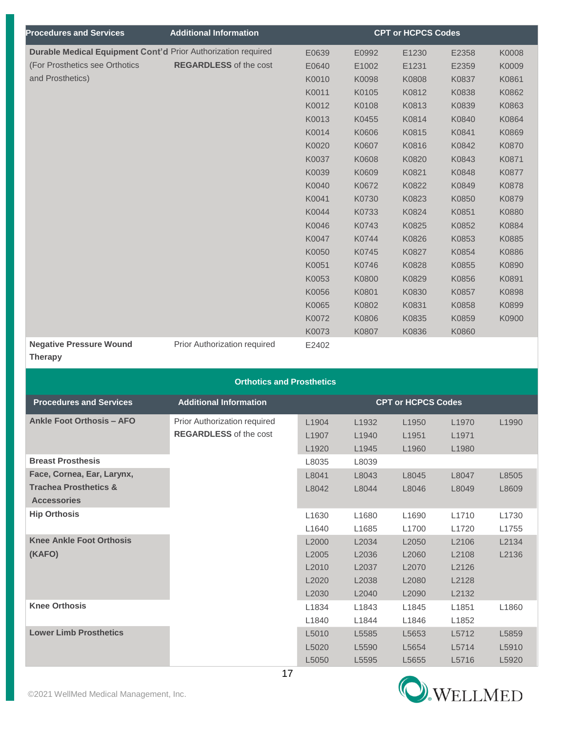| <b>Procedures and Services</b>                                | <b>Additional Information</b> |       |       | <b>CPT or HCPCS Codes</b> |       |       |
|---------------------------------------------------------------|-------------------------------|-------|-------|---------------------------|-------|-------|
| Durable Medical Equipment Cont'd Prior Authorization required |                               | E0639 | E0992 | E1230                     | E2358 | K0008 |
| (For Prosthetics see Orthotics                                | <b>REGARDLESS</b> of the cost | E0640 | E1002 | E1231                     | E2359 | K0009 |
| and Prosthetics)                                              |                               | K0010 | K0098 | K0808                     | K0837 | K0861 |
|                                                               |                               | K0011 | K0105 | K0812                     | K0838 | K0862 |
|                                                               |                               | K0012 | K0108 | K0813                     | K0839 | K0863 |
|                                                               |                               | K0013 | K0455 | K0814                     | K0840 | K0864 |
|                                                               |                               | K0014 | K0606 | K0815                     | K0841 | K0869 |
|                                                               |                               | K0020 | K0607 | K0816                     | K0842 | K0870 |
|                                                               |                               | K0037 | K0608 | K0820                     | K0843 | K0871 |
|                                                               |                               | K0039 | K0609 | K0821                     | K0848 | K0877 |
|                                                               |                               | K0040 | K0672 | K0822                     | K0849 | K0878 |
|                                                               |                               | K0041 | K0730 | K0823                     | K0850 | K0879 |
|                                                               |                               | K0044 | K0733 | K0824                     | K0851 | K0880 |
|                                                               |                               | K0046 | K0743 | K0825                     | K0852 | K0884 |
|                                                               |                               | K0047 | K0744 | K0826                     | K0853 | K0885 |
|                                                               |                               | K0050 | K0745 | K0827                     | K0854 | K0886 |
|                                                               |                               | K0051 | K0746 | K0828                     | K0855 | K0890 |
|                                                               |                               | K0053 | K0800 | K0829                     | K0856 | K0891 |
|                                                               |                               | K0056 | K0801 | K0830                     | K0857 | K0898 |
|                                                               |                               | K0065 | K0802 | K0831                     | K0858 | K0899 |
|                                                               |                               | K0072 | K0806 | K0835                     | K0859 | K0900 |
|                                                               |                               | K0073 | K0807 | K0836                     | K0860 |       |
| <b>Negative Pressure Wound</b>                                | Prior Authorization required  | E2402 |       |                           |       |       |
| <b>Therapy</b>                                                |                               |       |       |                           |       |       |
|                                                               |                               |       |       |                           |       |       |

## **Orthotics and Prosthetics**

| <b>Procedures and Services</b>   | <b>Additional Information</b> |                   |                   | <b>CPT or HCPCS Codes</b> |                   |       |
|----------------------------------|-------------------------------|-------------------|-------------------|---------------------------|-------------------|-------|
| <b>Ankle Foot Orthosis - AFO</b> | Prior Authorization required  | L <sub>1904</sub> | L <sub>1932</sub> | L <sub>1950</sub>         | L <sub>1970</sub> | L1990 |
|                                  | <b>REGARDLESS</b> of the cost | L1907             | L <sub>1940</sub> | L <sub>1951</sub>         | L <sub>1971</sub> |       |
|                                  |                               | L <sub>1920</sub> | L1945             | L1960                     | L1980             |       |
| <b>Breast Prosthesis</b>         |                               | L8035             | L8039             |                           |                   |       |
| Face, Cornea, Ear, Larynx,       |                               | L8041             | L8043             | L8045                     | L8047             | L8505 |
| <b>Trachea Prosthetics &amp;</b> |                               | L8042             | L8044             | L8046                     | L8049             | L8609 |
| <b>Accessories</b>               |                               |                   |                   |                           |                   |       |
| <b>Hip Orthosis</b>              |                               | L1630             | L1680             | L <sub>1690</sub>         | L1710             | L1730 |
|                                  |                               | L <sub>1640</sub> | L1685             | L1700                     | L1720             | L1755 |
| <b>Knee Ankle Foot Orthosis</b>  |                               | L2000             | L2034             | L <sub>2050</sub>         | L2106             | L2134 |
| (KAFO)                           |                               | L2005             | L2036             | L <sub>2060</sub>         | L2108             | L2136 |
|                                  |                               | L2010             | L2037             | L <sub>2070</sub>         | L2126             |       |
|                                  |                               | L <sub>2020</sub> | L <sub>2038</sub> | L <sub>2080</sub>         | L2128             |       |
|                                  |                               | L2030             | L2040             | L2090                     | L2132             |       |
| <b>Knee Orthosis</b>             |                               | L1834             | L1843             | L1845                     | L1851             | L1860 |
|                                  |                               | L1840             | L1844             | L1846                     | L1852             |       |
| <b>Lower Limb Prosthetics</b>    |                               | L5010             | L5585             | L5653                     | L5712             | L5859 |
|                                  |                               | L5020             | L5590             | L5654                     | L5714             | L5910 |
|                                  |                               | L5050             | L5595             | L5655                     | L5716             | L5920 |

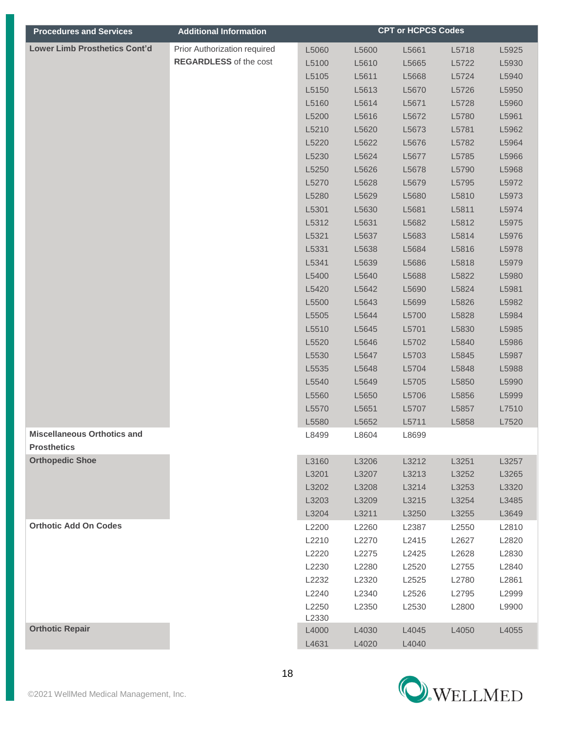| <b>Procedures and Services</b>               | <b>Additional Information</b> |                |                | <b>CPT or HCPCS Codes</b> |                |                |
|----------------------------------------------|-------------------------------|----------------|----------------|---------------------------|----------------|----------------|
| <b>Lower Limb Prosthetics Cont'd</b>         | Prior Authorization required  | L5060          | L5600          | L5661                     | L5718          | L5925          |
|                                              | <b>REGARDLESS</b> of the cost | L5100          | L5610          | L5665                     | L5722          | L5930          |
|                                              |                               | L5105          | L5611          | L5668                     | L5724          | L5940          |
|                                              |                               | L5150          | L5613          | L5670                     | L5726          | L5950          |
|                                              |                               | L5160          | L5614          | L5671                     | L5728          | L5960          |
|                                              |                               | L5200          | L5616          | L5672                     | L5780          | L5961          |
|                                              |                               | L5210          | L5620          | L5673                     | L5781          | L5962          |
|                                              |                               | L5220          | L5622          | L5676                     | L5782          | L5964          |
|                                              |                               | L5230          | L5624          | L5677                     | L5785          | L5966          |
|                                              |                               | L5250          | L5626          | L5678                     | L5790          | L5968          |
|                                              |                               | L5270          | L5628          | L5679                     | L5795          | L5972          |
|                                              |                               | L5280          | L5629          | L5680                     | L5810          | L5973          |
|                                              |                               | L5301          | L5630          | L5681                     | L5811          | L5974          |
|                                              |                               | L5312          | L5631          | L5682                     | L5812          | L5975          |
|                                              |                               | L5321          | L5637          | L5683                     | L5814          | L5976          |
|                                              |                               | L5331          | L5638          | L5684                     | L5816          | L5978          |
|                                              |                               | L5341          | L5639          | L5686                     | L5818          | L5979          |
|                                              |                               | L5400          | L5640          | L5688                     | L5822          | L5980          |
|                                              |                               | L5420          | L5642          | L5690                     | L5824          | L5981          |
|                                              |                               | L5500          | L5643          | L5699                     | L5826          | L5982          |
|                                              |                               | L5505          | L5644          | L5700                     | L5828          | L5984          |
|                                              |                               | L5510          | L5645          | L5701                     | L5830          | L5985          |
|                                              |                               | L5520          | L5646          | L5702                     | L5840          | L5986          |
|                                              |                               | L5530          | L5647          | L5703                     | L5845          | L5987          |
|                                              |                               | L5535          | L5648          | L5704                     | L5848          | L5988          |
|                                              |                               | L5540          | L5649          | L5705                     | L5850          | L5990          |
|                                              |                               | L5560          | L5650          | L5706                     | L5856          | L5999          |
|                                              |                               | L5570          | L5651          | L5707                     | L5857          | L7510          |
|                                              |                               | L5580          | L5652          | L5711                     | L5858          | L7520          |
| <b>Miscellaneous Orthotics and</b>           |                               | L8499          | L8604          | L8699                     |                |                |
| <b>Prosthetics</b><br><b>Orthopedic Shoe</b> |                               |                |                |                           |                |                |
|                                              |                               | L3160<br>L3201 | L3206<br>L3207 | L3212                     | L3251<br>L3252 | L3257          |
|                                              |                               | L3202          | L3208          | L3213<br>L3214            | L3253          | L3265<br>L3320 |
|                                              |                               | L3203          | L3209          | L3215                     | L3254          | L3485          |
|                                              |                               | L3204          | L3211          | L3250                     | L3255          | L3649          |
| <b>Orthotic Add On Codes</b>                 |                               | L2200          | L2260          | L2387                     | L2550          | L2810          |
|                                              |                               | L2210          | L2270          | L2415                     | L2627          | L2820          |
|                                              |                               | L2220          | L2275          | L2425                     | L2628          | L2830          |
|                                              |                               | L2230          | L2280          | L2520                     | L2755          | L2840          |
|                                              |                               | L2232          | L2320          | L2525                     | L2780          | L2861          |
|                                              |                               | L2240          | L2340          | L2526                     | L2795          | L2999          |
|                                              |                               | L2250          | L2350          | L2530                     | L2800          | L9900          |
|                                              |                               | L2330          |                |                           |                |                |
| <b>Orthotic Repair</b>                       |                               | L4000          | L4030          | L4045                     | L4050          | L4055          |
|                                              |                               | L4631          | L4020          | L4040                     |                |                |

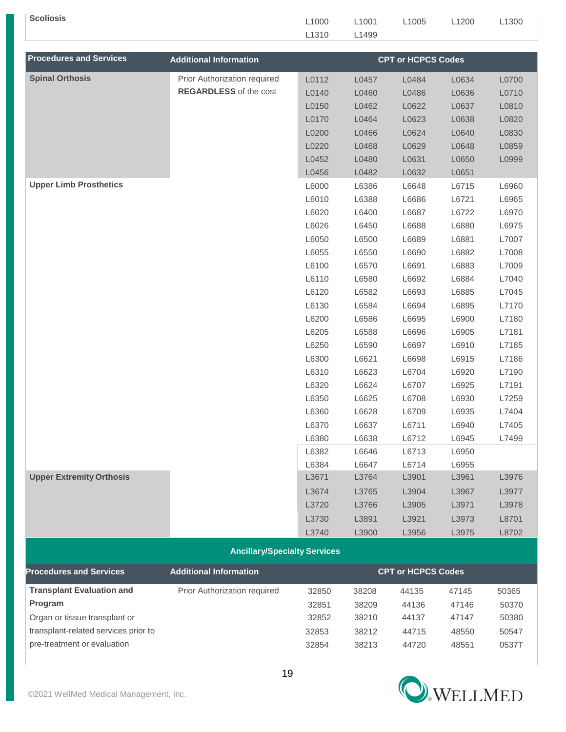| <b>Scoliosis</b>                 |                                     | L1000 | L1001 | L1005                     | L1200 | L1300 |
|----------------------------------|-------------------------------------|-------|-------|---------------------------|-------|-------|
|                                  |                                     | L1310 | L1499 |                           |       |       |
|                                  |                                     |       |       |                           |       |       |
| <b>Procedures and Services</b>   | <b>Additional Information</b>       |       |       | <b>CPT or HCPCS Codes</b> |       |       |
| <b>Spinal Orthosis</b>           | Prior Authorization required        | L0112 | L0457 | L0484                     | L0634 | L0700 |
|                                  | <b>REGARDLESS</b> of the cost       | L0140 | L0460 | L0486                     | L0636 | L0710 |
|                                  |                                     | L0150 | L0462 | L0622                     | L0637 | L0810 |
|                                  |                                     | L0170 | L0464 | L0623                     | L0638 | L0820 |
|                                  |                                     | L0200 | L0466 | L0624                     | L0640 | L0830 |
|                                  |                                     | L0220 | L0468 | L0629                     | L0648 | L0859 |
|                                  |                                     | L0452 | L0480 | L0631                     | L0650 | L0999 |
|                                  |                                     | L0456 | L0482 | L0632                     | L0651 |       |
| <b>Upper Limb Prosthetics</b>    |                                     | L6000 | L6386 | L6648                     | L6715 | L6960 |
|                                  |                                     | L6010 | L6388 | L6686                     | L6721 | L6965 |
|                                  |                                     | L6020 | L6400 | L6687                     | L6722 | L6970 |
|                                  |                                     | L6026 | L6450 | L6688                     | L6880 | L6975 |
|                                  |                                     | L6050 | L6500 | L6689                     | L6881 | L7007 |
|                                  |                                     | L6055 | L6550 | L6690                     | L6882 | L7008 |
|                                  |                                     | L6100 | L6570 | L6691                     | L6883 | L7009 |
|                                  |                                     | L6110 | L6580 | L6692                     | L6884 | L7040 |
|                                  |                                     | L6120 | L6582 | L6693                     | L6885 | L7045 |
|                                  |                                     | L6130 | L6584 | L6694                     | L6895 | L7170 |
|                                  |                                     | L6200 | L6586 | L6695                     | L6900 | L7180 |
|                                  |                                     | L6205 | L6588 | L6696                     | L6905 | L7181 |
|                                  |                                     | L6250 | L6590 | L6697                     | L6910 | L7185 |
|                                  |                                     | L6300 | L6621 | L6698                     | L6915 | L7186 |
|                                  |                                     | L6310 | L6623 | L6704                     | L6920 | L7190 |
|                                  |                                     | L6320 | L6624 | L6707                     | L6925 | L7191 |
|                                  |                                     | L6350 | L6625 | L6708                     | L6930 | L7259 |
|                                  |                                     | L6360 | L6628 | L6709                     | L6935 | L7404 |
|                                  |                                     | L6370 | L6637 | L6711                     | L6940 | L7405 |
|                                  |                                     | L6380 | L6638 | L6712                     | L6945 | L7499 |
|                                  |                                     | L6382 | L6646 | L6713                     | L6950 |       |
|                                  |                                     | L6384 | L6647 | L6714                     | L6955 |       |
| <b>Upper Extremity Orthosis</b>  |                                     | L3671 | L3764 | L3901                     | L3961 | L3976 |
|                                  |                                     | L3674 | L3765 | L3904                     | L3967 | L3977 |
|                                  |                                     | L3720 | L3766 | L3905                     | L3971 | L3978 |
|                                  |                                     | L3730 | L3891 | L3921                     | L3973 | L8701 |
|                                  |                                     | L3740 | L3900 | L3956                     | L3975 | L8702 |
|                                  | <b>Ancillary/Specialty Services</b> |       |       |                           |       |       |
| <b>Procedures and Services</b>   | <b>Additional Information</b>       |       |       | <b>CPT or HCPCS Codes</b> |       |       |
| <b>Transplant Evaluation and</b> | Prior Authorization required        | 32850 | 38208 | 44135                     | 47145 | 50365 |
| Program                          |                                     | 32851 | 38209 | 44136                     | 47146 | 50370 |

Organ or tissue transplant or 32852 38210 44137 47147 50380 transplant-related services prior to 32853 38212 44715 48550 50547 pre-treatment or evaluation 32854 38213 44720 48551 0537T

**O**.WELLMED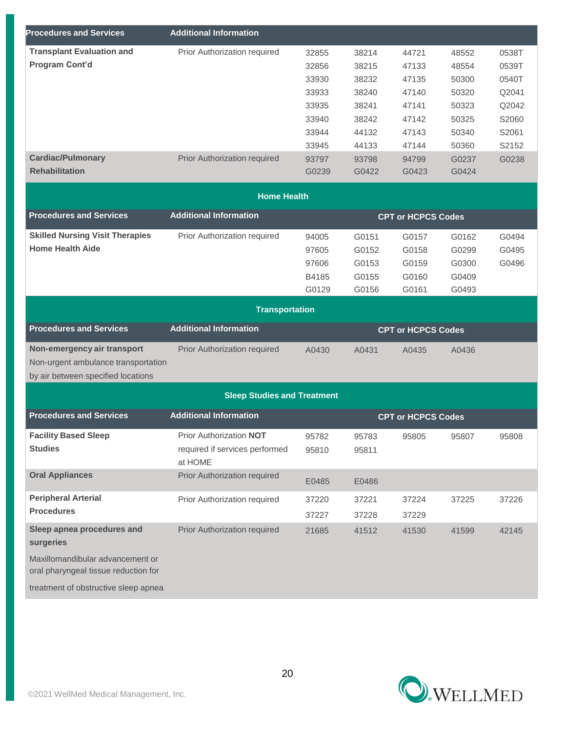| <b>Procedures and Services</b>          | <b>Additional Information</b>      |       |       |                           |       |       |
|-----------------------------------------|------------------------------------|-------|-------|---------------------------|-------|-------|
| <b>Transplant Evaluation and</b>        | Prior Authorization required       | 32855 | 38214 | 44721                     | 48552 | 0538T |
| Program Cont'd                          |                                    | 32856 | 38215 | 47133                     | 48554 | 0539T |
|                                         |                                    | 33930 | 38232 | 47135                     | 50300 | 0540T |
|                                         |                                    | 33933 | 38240 | 47140                     | 50320 | Q2041 |
|                                         |                                    | 33935 | 38241 | 47141                     | 50323 | Q2042 |
|                                         |                                    | 33940 | 38242 | 47142                     | 50325 | S2060 |
|                                         |                                    | 33944 | 44132 | 47143                     | 50340 | S2061 |
|                                         |                                    | 33945 | 44133 | 47144                     | 50360 | S2152 |
| <b>Cardiac/Pulmonary</b>                | Prior Authorization required       | 93797 | 93798 | 94799                     | G0237 | G0238 |
| <b>Rehabilitation</b>                   |                                    | G0239 | G0422 | G0423                     | G0424 |       |
|                                         | <b>Home Health</b>                 |       |       |                           |       |       |
| <b>Procedures and Services</b>          | <b>Additional Information</b>      |       |       | <b>CPT or HCPCS Codes</b> |       |       |
| <b>Skilled Nursing Visit Therapies</b>  | Prior Authorization required       | 94005 | G0151 | G0157                     | G0162 | G0494 |
| <b>Home Health Aide</b>                 |                                    | 97605 | G0152 | G0158                     | G0299 | G0495 |
|                                         |                                    | 97606 | G0153 | G0159                     | G0300 | G0496 |
|                                         |                                    | B4185 | G0155 | G0160                     | G0409 |       |
|                                         |                                    | G0129 | G0156 | G0161                     | G0493 |       |
|                                         | <b>Transportation</b>              |       |       |                           |       |       |
| <b>Procedures and Services</b>          | <b>Additional Information</b>      |       |       | <b>CPT or HCPCS Codes</b> |       |       |
| Non-emergency air transport             | Prior Authorization required       | A0430 | A0431 | A0435                     | A0436 |       |
| Non-urgent ambulance transportation     |                                    |       |       |                           |       |       |
| by air between specified locations      |                                    |       |       |                           |       |       |
|                                         | <b>Sleep Studies and Treatment</b> |       |       |                           |       |       |
| <b>Procedures and Services</b>          | <b>Additional Information</b>      |       |       | <b>CPT or HCPCS Codes</b> |       |       |
| <b>Facility Based Sleep</b>             | <b>Prior Authorization NOT</b>     | 95782 | 95783 | 95805                     | 95807 | 95808 |
| <b>Studies</b>                          | required if services performed     | 95810 | 95811 |                           |       |       |
|                                         | at HOME                            |       |       |                           |       |       |
| <b>Oral Appliances</b>                  | Prior Authorization required       | E0485 | E0486 |                           |       |       |
| <b>Peripheral Arterial</b>              | Prior Authorization required       | 37220 | 37221 | 37224                     | 37225 | 37226 |
| <b>Procedures</b>                       |                                    |       |       |                           |       |       |
|                                         |                                    | 37227 | 37228 | 37229                     |       |       |
| Sleep apnea procedures and<br>surgeries | Prior Authorization required       | 21685 | 41512 | 41530                     | 41599 | 42145 |
| Maxillomandibular advancement or        |                                    |       |       |                           |       |       |
| oral pharyngeal tissue reduction for    |                                    |       |       |                           |       |       |
| treatment of obstructive sleep apnea    |                                    |       |       |                           |       |       |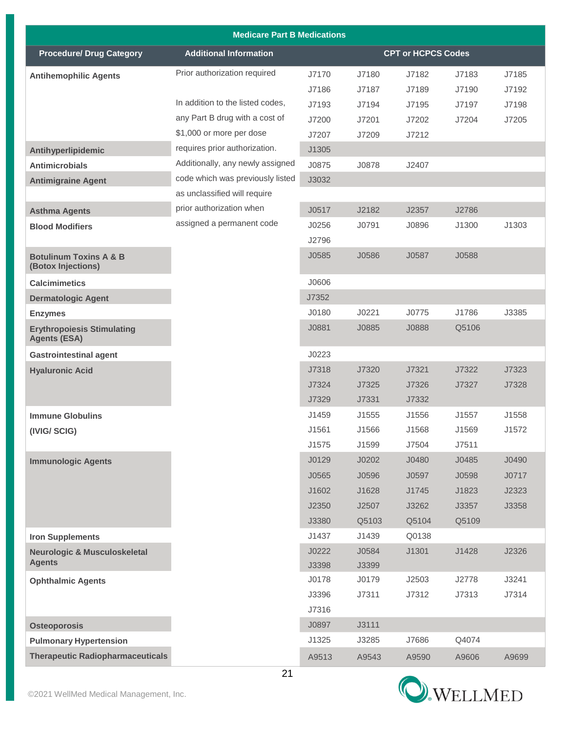|                                                          | <b>Medicare Part B Medications</b> |       |       |                           |       |       |
|----------------------------------------------------------|------------------------------------|-------|-------|---------------------------|-------|-------|
| <b>Procedure/ Drug Category</b>                          | <b>Additional Information</b>      |       |       | <b>CPT or HCPCS Codes</b> |       |       |
| <b>Antihemophilic Agents</b>                             | Prior authorization required       | J7170 | J7180 | J7182                     | J7183 | J7185 |
|                                                          |                                    | J7186 | J7187 | J7189                     | J7190 | J7192 |
|                                                          | In addition to the listed codes,   | J7193 | J7194 | J7195                     | J7197 | J7198 |
|                                                          | any Part B drug with a cost of     | J7200 | J7201 | J7202                     | J7204 | J7205 |
|                                                          | \$1,000 or more per dose           | J7207 | J7209 | J7212                     |       |       |
| Antihyperlipidemic                                       | requires prior authorization.      | J1305 |       |                           |       |       |
| <b>Antimicrobials</b>                                    | Additionally, any newly assigned   | J0875 | J0878 | J2407                     |       |       |
| <b>Antimigraine Agent</b>                                | code which was previously listed   | J3032 |       |                           |       |       |
|                                                          | as unclassified will require       |       |       |                           |       |       |
| <b>Asthma Agents</b>                                     | prior authorization when           | J0517 | J2182 | J2357                     | J2786 |       |
| <b>Blood Modifiers</b>                                   | assigned a permanent code          | J0256 | J0791 | J0896                     | J1300 | J1303 |
|                                                          |                                    | J2796 |       |                           |       |       |
| <b>Botulinum Toxins A &amp; B</b><br>(Botox Injections)  |                                    | J0585 | J0586 | J0587                     | J0588 |       |
| <b>Calcimimetics</b>                                     |                                    | J0606 |       |                           |       |       |
| <b>Dermatologic Agent</b>                                |                                    | J7352 |       |                           |       |       |
| <b>Enzymes</b>                                           |                                    | J0180 | J0221 | J0775                     | J1786 | J3385 |
| <b>Erythropoiesis Stimulating</b><br><b>Agents (ESA)</b> |                                    | J0881 | J0885 | J0888                     | Q5106 |       |
| <b>Gastrointestinal agent</b>                            |                                    | J0223 |       |                           |       |       |
| <b>Hyaluronic Acid</b>                                   |                                    | J7318 | J7320 | J7321                     | J7322 | J7323 |
|                                                          |                                    | J7324 | J7325 | J7326                     | J7327 | J7328 |
|                                                          |                                    | J7329 | J7331 | J7332                     |       |       |
| <b>Immune Globulins</b>                                  |                                    | J1459 | J1555 | J1556                     | J1557 | J1558 |
| (IVIG/SCIG)                                              |                                    | J1561 | J1566 | J1568                     | J1569 | J1572 |
|                                                          |                                    | J1575 | J1599 | J7504                     | J7511 |       |
| <b>Immunologic Agents</b>                                |                                    | J0129 | J0202 | J0480                     | J0485 | J0490 |
|                                                          |                                    | J0565 | J0596 | J0597                     | J0598 | J0717 |
|                                                          |                                    | J1602 | J1628 | J1745                     | J1823 | J2323 |
|                                                          |                                    | J2350 | J2507 | J3262                     | J3357 | J3358 |
|                                                          |                                    | J3380 | Q5103 | Q5104                     | Q5109 |       |
| <b>Iron Supplements</b>                                  |                                    | J1437 | J1439 | Q0138                     |       |       |
| <b>Neurologic &amp; Musculoskeletal</b>                  |                                    | J0222 | J0584 | J1301                     | J1428 | J2326 |
| <b>Agents</b>                                            |                                    | J3398 | J3399 |                           |       |       |
| <b>Ophthalmic Agents</b>                                 |                                    | J0178 | J0179 | J2503                     | J2778 | J3241 |
|                                                          |                                    | J3396 | J7311 | J7312                     | J7313 | J7314 |
|                                                          |                                    | J7316 |       |                           |       |       |
| <b>Osteoporosis</b>                                      |                                    | J0897 | J3111 |                           |       |       |
| <b>Pulmonary Hypertension</b>                            |                                    | J1325 | J3285 | J7686                     | Q4074 |       |
| <b>Therapeutic Radiopharmaceuticals</b>                  |                                    | A9513 | A9543 | A9590                     | A9606 | A9699 |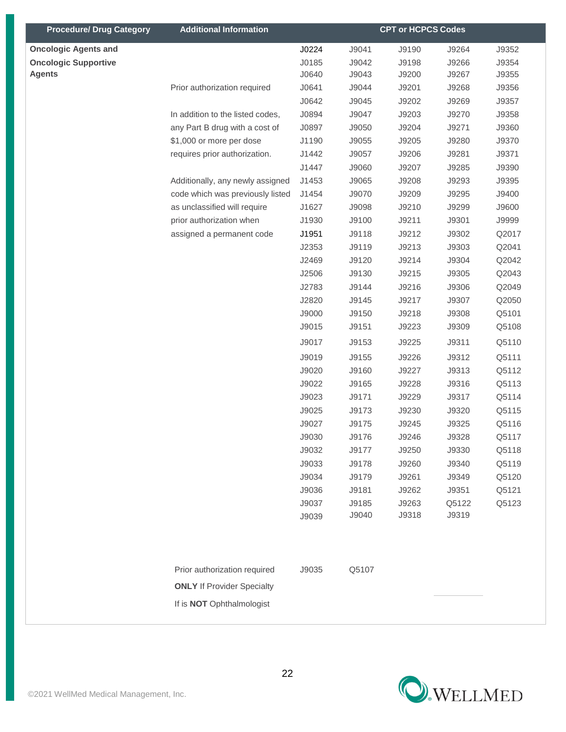| <b>Procedure/ Drug Category</b> | <b>Additional Information</b>     |       |       | <b>CPT or HCPCS Codes</b> |       |       |
|---------------------------------|-----------------------------------|-------|-------|---------------------------|-------|-------|
| <b>Oncologic Agents and</b>     |                                   | J0224 | J9041 | J9190                     | J9264 | J9352 |
| <b>Oncologic Supportive</b>     |                                   | J0185 | J9042 | J9198                     | J9266 | J9354 |
| <b>Agents</b>                   |                                   | J0640 | J9043 | J9200                     | J9267 | J9355 |
|                                 | Prior authorization required      | J0641 | J9044 | J9201                     | J9268 | J9356 |
|                                 |                                   | J0642 | J9045 | J9202                     | J9269 | J9357 |
|                                 | In addition to the listed codes,  | J0894 | J9047 | J9203                     | J9270 | J9358 |
|                                 | any Part B drug with a cost of    | J0897 | J9050 | J9204                     | J9271 | J9360 |
|                                 | \$1,000 or more per dose          | J1190 | J9055 | J9205                     | J9280 | J9370 |
|                                 | requires prior authorization.     | J1442 | J9057 | J9206                     | J9281 | J9371 |
|                                 |                                   | J1447 | J9060 | J9207                     | J9285 | J9390 |
|                                 | Additionally, any newly assigned  | J1453 | J9065 | J9208                     | J9293 | J9395 |
|                                 | code which was previously listed  | J1454 | J9070 | J9209                     | J9295 | J9400 |
|                                 | as unclassified will require      | J1627 | J9098 | J9210                     | J9299 | J9600 |
|                                 | prior authorization when          | J1930 | J9100 | J9211                     | J9301 | J9999 |
|                                 | assigned a permanent code         | J1951 | J9118 | J9212                     | J9302 | Q2017 |
|                                 |                                   | J2353 | J9119 | J9213                     | J9303 | Q2041 |
|                                 |                                   | J2469 | J9120 | J9214                     | J9304 | Q2042 |
|                                 |                                   | J2506 | J9130 | J9215                     | J9305 | Q2043 |
|                                 |                                   | J2783 | J9144 | J9216                     | J9306 | Q2049 |
|                                 |                                   | J2820 | J9145 | J9217                     | J9307 | Q2050 |
|                                 |                                   | J9000 | J9150 | J9218                     | J9308 | Q5101 |
|                                 |                                   | J9015 | J9151 | J9223                     | J9309 | Q5108 |
|                                 |                                   | J9017 | J9153 | J9225                     | J9311 | Q5110 |
|                                 |                                   | J9019 | J9155 | J9226                     | J9312 | Q5111 |
|                                 |                                   | J9020 | J9160 | J9227                     | J9313 | Q5112 |
|                                 |                                   | J9022 | J9165 | J9228                     | J9316 | Q5113 |
|                                 |                                   | J9023 | J9171 | J9229                     | J9317 | Q5114 |
|                                 |                                   | J9025 | J9173 | J9230                     | J9320 | Q5115 |
|                                 |                                   | J9027 | J9175 | J9245                     | J9325 | Q5116 |
|                                 |                                   | J9030 | J9176 | J9246                     | J9328 | Q5117 |
|                                 |                                   | J9032 | J9177 | J9250                     | J9330 | Q5118 |
|                                 |                                   | J9033 | J9178 | J9260                     | J9340 | Q5119 |
|                                 |                                   | J9034 | J9179 | J9261                     | J9349 | Q5120 |
|                                 |                                   | J9036 | J9181 | J9262                     | J9351 | Q5121 |
|                                 |                                   | J9037 | J9185 | J9263                     | Q5122 | Q5123 |
|                                 |                                   | J9039 | J9040 | J9318                     | J9319 |       |
|                                 |                                   |       |       |                           |       |       |
|                                 |                                   |       |       |                           |       |       |
|                                 | Prior authorization required      | J9035 | Q5107 |                           |       |       |
|                                 | <b>ONLY</b> If Provider Specialty |       |       |                           |       |       |
|                                 | If is <b>NOT</b> Ophthalmologist  |       |       |                           |       |       |
|                                 |                                   |       |       |                           |       |       |

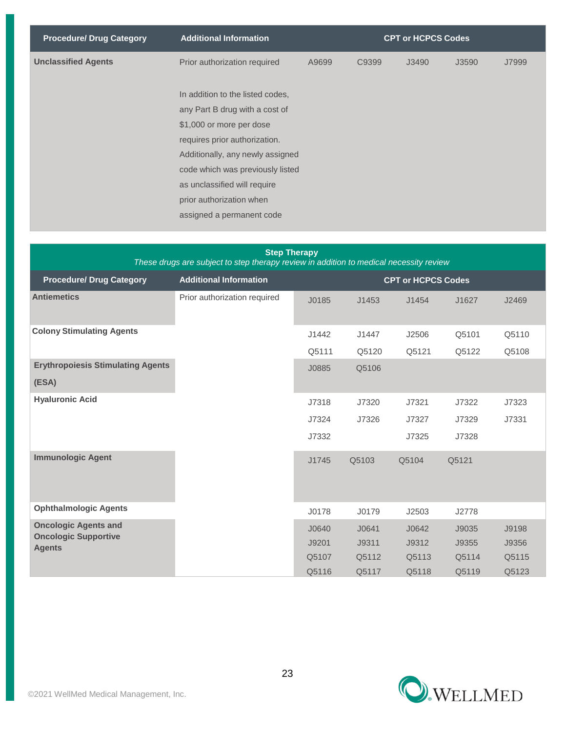| <b>Procedure/ Drug Category</b> | <b>CPT or HCPCS Codes</b><br><b>Additional Information</b> |       |       |       |       |       |
|---------------------------------|------------------------------------------------------------|-------|-------|-------|-------|-------|
| <b>Unclassified Agents</b>      | Prior authorization required                               | A9699 | C9399 | J3490 | J3590 | J7999 |
|                                 |                                                            |       |       |       |       |       |
|                                 | In addition to the listed codes,                           |       |       |       |       |       |
|                                 | any Part B drug with a cost of                             |       |       |       |       |       |
|                                 | \$1,000 or more per dose                                   |       |       |       |       |       |
|                                 | requires prior authorization.                              |       |       |       |       |       |
|                                 | Additionally, any newly assigned                           |       |       |       |       |       |
|                                 | code which was previously listed                           |       |       |       |       |       |
|                                 | as unclassified will require                               |       |       |       |       |       |
|                                 | prior authorization when                                   |       |       |       |       |       |
|                                 | assigned a permanent code                                  |       |       |       |       |       |
|                                 |                                                            |       |       |       |       |       |

| <b>Step Therapy</b><br>These drugs are subject to step therapy review in addition to medical necessity review |                               |                           |       |       |       |       |
|---------------------------------------------------------------------------------------------------------------|-------------------------------|---------------------------|-------|-------|-------|-------|
| <b>Procedure/ Drug Category</b>                                                                               | <b>Additional Information</b> | <b>CPT or HCPCS Codes</b> |       |       |       |       |
| <b>Antiemetics</b>                                                                                            | Prior authorization required  | J0185                     | J1453 | J1454 | J1627 | J2469 |
| <b>Colony Stimulating Agents</b>                                                                              |                               | J1442                     | J1447 | J2506 | Q5101 | Q5110 |
|                                                                                                               |                               | Q5111                     | Q5120 | Q5121 | Q5122 | Q5108 |
| <b>Erythropoiesis Stimulating Agents</b><br>(ESA)                                                             |                               | J0885                     | Q5106 |       |       |       |
| <b>Hyaluronic Acid</b>                                                                                        |                               | J7318                     | J7320 | J7321 | J7322 | J7323 |
|                                                                                                               |                               | J7324                     | J7326 | J7327 | J7329 | J7331 |
|                                                                                                               |                               | J7332                     |       | J7325 | J7328 |       |
| <b>Immunologic Agent</b>                                                                                      |                               | J1745                     | Q5103 | Q5104 | Q5121 |       |
| <b>Ophthalmologic Agents</b>                                                                                  |                               | J0178                     | J0179 | J2503 | J2778 |       |
| <b>Oncologic Agents and</b>                                                                                   |                               | J0640                     | J0641 | J0642 | J9035 | J9198 |
| <b>Oncologic Supportive</b><br><b>Agents</b>                                                                  |                               | J9201                     | J9311 | J9312 | J9355 | J9356 |
|                                                                                                               |                               | Q5107                     | Q5112 | Q5113 | Q5114 | Q5115 |
|                                                                                                               |                               | Q5116                     | Q5117 | Q5118 | Q5119 | Q5123 |

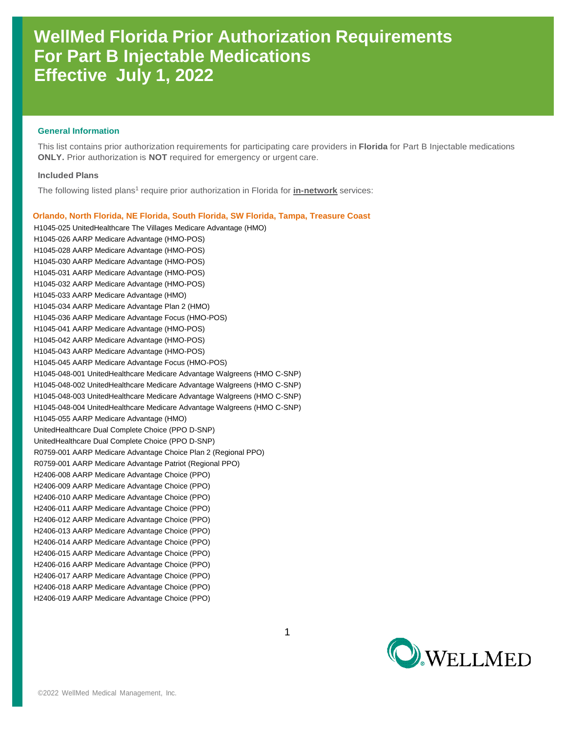## **WellMed Florida Prior Authorization Requirements For Part B Injectable Medications Effective July 1, 2022**

### **General Information**

This list contains prior authorization requirements for participating care providers in **Florida** for Part B Injectable medications **ONLY.** Prior authorization is **NOT** required for emergency or urgent care.

### **Included Plans**

The following listed plans<sup>1</sup> require prior authorization in Florida for **in-network** services:

 **Orlando, North Florida, NE Florida, South Florida, SW Florida, Tampa, Treasure Coast** H1045-025 UnitedHealthcare The Villages Medicare Advantage (HMO) H1045-026 AARP Medicare Advantage (HMO-POS) H1045-028 AARP Medicare Advantage (HMO-POS) H1045-030 AARP Medicare Advantage (HMO-POS) H1045-031 AARP Medicare Advantage (HMO-POS) H1045-032 AARP Medicare Advantage (HMO-POS) H1045-033 AARP Medicare Advantage (HMO) H1045-034 AARP Medicare Advantage Plan 2 (HMO) H1045-036 AARP Medicare Advantage Focus (HMO-POS) H1045-041 AARP Medicare Advantage (HMO-POS) H1045-042 AARP Medicare Advantage (HMO-POS) H1045-043 AARP Medicare Advantage (HMO-POS) H1045-045 AARP Medicare Advantage Focus (HMO-POS) H1045-048-001 UnitedHealthcare Medicare Advantage Walgreens (HMO C-SNP) H1045-048-002 UnitedHealthcare Medicare Advantage Walgreens (HMO C-SNP) H1045-048-003 UnitedHealthcare Medicare Advantage Walgreens (HMO C-SNP) H1045-048-004 UnitedHealthcare Medicare Advantage Walgreens (HMO C-SNP) H1045-055 AARP Medicare Advantage (HMO) UnitedHealthcare Dual Complete Choice (PPO D-SNP) UnitedHealthcare Dual Complete Choice (PPO D-SNP) R0759-001 AARP Medicare Advantage Choice Plan 2 (Regional PPO) R0759-001 AARP Medicare Advantage Patriot (Regional PPO) H2406-008 AARP Medicare Advantage Choice (PPO) H2406-009 AARP Medicare Advantage Choice (PPO) H2406-010 AARP Medicare Advantage Choice (PPO) H2406-011 AARP Medicare Advantage Choice (PPO) H2406-012 AARP Medicare Advantage Choice (PPO) H2406-013 AARP Medicare Advantage Choice (PPO) H2406-014 AARP Medicare Advantage Choice (PPO) H2406-015 AARP Medicare Advantage Choice (PPO) H2406-016 AARP Medicare Advantage Choice (PPO) H2406-017 AARP Medicare Advantage Choice (PPO) H2406-018 AARP Medicare Advantage Choice (PPO) H2406-019 AARP Medicare Advantage Choice (PPO)

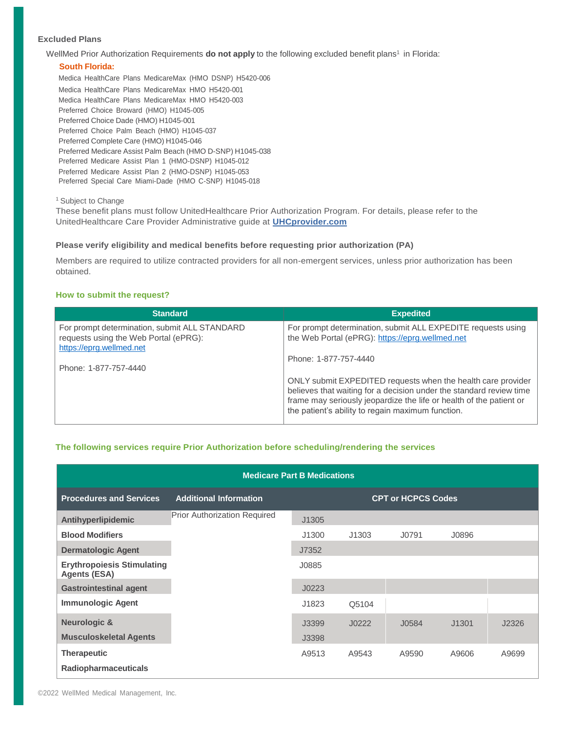## **Excluded Plans**

WellMed Prior Authorization Requirements do not apply to the following excluded benefit plans<sup>1</sup> in Florida:

## **South Florida:**

Medica HealthCare Plans MedicareMax (HMO DSNP) H5420-006 Medica HealthCare Plans MedicareMax HMO H5420-001 Medica HealthCare Plans MedicareMax HMO H5420-003 Preferred Choice Broward (HMO) H1045-005 Preferred Choice Dade (HMO) H1045-001 Preferred Choice Palm Beach (HMO) H1045-037 Preferred Complete Care (HMO) H1045-046 Preferred Medicare Assist Palm Beach (HMO D-SNP) H1045-038 Preferred Medicare Assist Plan 1 (HMO-DSNP) H1045-012 Preferred Medicare Assist Plan 2 (HMO-DSNP) H1045-053 Preferred Special Care Miami-Dade (HMO C-SNP) H1045-018

<sup>1</sup> Subject to Change

These benefit plans must follow UnitedHealthcare Prior Authorization Program. For details, please refer to the UnitedHealthcare Care Provider Administrative guide at **[UHCprovider.com](http://uhcprovider.com/)**

## **Please verify eligibility and medical benefits before requesting prior authorization (PA)**

Members are required to utilize contracted providers for all non-emergent services, unless prior authorization has been obtained.

## **How to submit the request?**

| <b>Standard</b>                                                                                                                             | <b>Expedited</b>                                                                                                                                                                                                                                                                                                                                                                                            |
|---------------------------------------------------------------------------------------------------------------------------------------------|-------------------------------------------------------------------------------------------------------------------------------------------------------------------------------------------------------------------------------------------------------------------------------------------------------------------------------------------------------------------------------------------------------------|
| For prompt determination, submit ALL STANDARD<br>requests using the Web Portal (ePRG):<br>https://eprg.wellmed.net<br>Phone: 1-877-757-4440 | For prompt determination, submit ALL EXPEDITE requests using<br>the Web Portal (ePRG): https://eprg.wellmed.net<br>Phone: 1-877-757-4440<br>ONLY submit EXPEDITED requests when the health care provider<br>believes that waiting for a decision under the standard review time<br>frame may seriously jeopardize the life or health of the patient or<br>the patient's ability to regain maximum function. |

## **The following services require Prior Authorization before scheduling/rendering the services**

| <b>Medicare Part B Medications</b>                       |                                     |                           |       |       |       |       |
|----------------------------------------------------------|-------------------------------------|---------------------------|-------|-------|-------|-------|
| <b>Procedures and Services</b>                           | <b>Additional Information</b>       | <b>CPT or HCPCS Codes</b> |       |       |       |       |
| Antihyperlipidemic                                       | <b>Prior Authorization Required</b> | J1305                     |       |       |       |       |
| <b>Blood Modifiers</b>                                   |                                     | J1300                     | J1303 | J0791 | J0896 |       |
| <b>Dermatologic Agent</b>                                |                                     | J7352                     |       |       |       |       |
| <b>Erythropoiesis Stimulating</b><br><b>Agents (ESA)</b> |                                     | J0885                     |       |       |       |       |
| <b>Gastrointestinal agent</b>                            |                                     | J0223                     |       |       |       |       |
| <b>Immunologic Agent</b>                                 |                                     | J1823                     | Q5104 |       |       |       |
| <b>Neurologic &amp;</b><br><b>Musculoskeletal Agents</b> |                                     | J3399<br>J3398            | J0222 | J0584 | J1301 | J2326 |
| <b>Therapeutic</b><br>Radiopharmaceuticals               |                                     | A9513                     | A9543 | A9590 | A9606 | A9699 |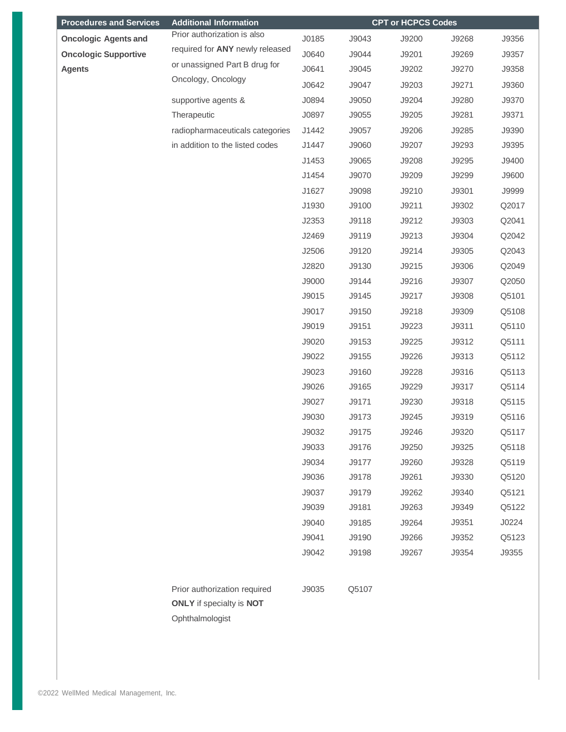| <b>Procedures and Services</b> | <b>Additional Information</b>                                                             |       |       | <b>CPT or HCPCS Codes</b> |       |       |
|--------------------------------|-------------------------------------------------------------------------------------------|-------|-------|---------------------------|-------|-------|
| <b>Oncologic Agents and</b>    | Prior authorization is also                                                               | J0185 | J9043 | J9200                     | J9268 | J9356 |
| <b>Oncologic Supportive</b>    | required for ANY newly released                                                           | J0640 | J9044 | J9201                     | J9269 | J9357 |
| <b>Agents</b>                  | or unassigned Part B drug for                                                             | J0641 | J9045 | J9202                     | J9270 | J9358 |
|                                | Oncology, Oncology                                                                        | J0642 | J9047 | J9203                     | J9271 | J9360 |
|                                | supportive agents &                                                                       | J0894 | J9050 | J9204                     | J9280 | J9370 |
|                                | Therapeutic                                                                               | J0897 | J9055 | J9205                     | J9281 | J9371 |
|                                | radiopharmaceuticals categories                                                           | J1442 | J9057 | J9206                     | J9285 | J9390 |
|                                | in addition to the listed codes                                                           | J1447 | J9060 | J9207                     | J9293 | J9395 |
|                                |                                                                                           | J1453 | J9065 | J9208                     | J9295 | J9400 |
|                                |                                                                                           | J1454 | J9070 | J9209                     | J9299 | J9600 |
|                                |                                                                                           | J1627 | J9098 | J9210                     | J9301 | J9999 |
|                                |                                                                                           | J1930 | J9100 | J9211                     | J9302 | Q2017 |
|                                |                                                                                           | J2353 | J9118 | J9212                     | J9303 | Q2041 |
|                                |                                                                                           | J2469 | J9119 | J9213                     | J9304 | Q2042 |
|                                |                                                                                           | J2506 | J9120 | J9214                     | J9305 | Q2043 |
|                                |                                                                                           | J2820 | J9130 | J9215                     | J9306 | Q2049 |
|                                |                                                                                           | J9000 | J9144 | J9216                     | J9307 | Q2050 |
|                                |                                                                                           | J9015 | J9145 | J9217                     | J9308 | Q5101 |
|                                |                                                                                           | J9017 | J9150 | J9218                     | J9309 | Q5108 |
|                                |                                                                                           | J9019 | J9151 | J9223                     | J9311 | Q5110 |
|                                |                                                                                           | J9020 | J9153 | J9225                     | J9312 | Q5111 |
|                                |                                                                                           | J9022 | J9155 | J9226                     | J9313 | Q5112 |
|                                |                                                                                           | J9023 | J9160 | J9228                     | J9316 | Q5113 |
|                                |                                                                                           | J9026 | J9165 | J9229                     | J9317 | Q5114 |
|                                |                                                                                           | J9027 | J9171 | J9230                     | J9318 | Q5115 |
|                                |                                                                                           | J9030 | J9173 | J9245                     | J9319 | Q5116 |
|                                |                                                                                           | J9032 | J9175 | J9246                     | J9320 | Q5117 |
|                                |                                                                                           | J9033 | J9176 | J9250                     | J9325 | Q5118 |
|                                |                                                                                           | J9034 | J9177 | J9260                     | J9328 | Q5119 |
|                                |                                                                                           | J9036 | J9178 | J9261                     | J9330 | Q5120 |
|                                |                                                                                           | J9037 | J9179 | J9262                     | J9340 | Q5121 |
|                                |                                                                                           | J9039 | J9181 | J9263                     | J9349 | Q5122 |
|                                |                                                                                           | J9040 | J9185 | J9264                     | J9351 | J0224 |
|                                |                                                                                           | J9041 | J9190 | J9266                     | J9352 | Q5123 |
|                                |                                                                                           | J9042 | J9198 | J9267                     | J9354 | J9355 |
|                                | Prior authorization required<br><b>ONLY</b> if specialty is <b>NOT</b><br>Ophthalmologist | J9035 | Q5107 |                           |       |       |